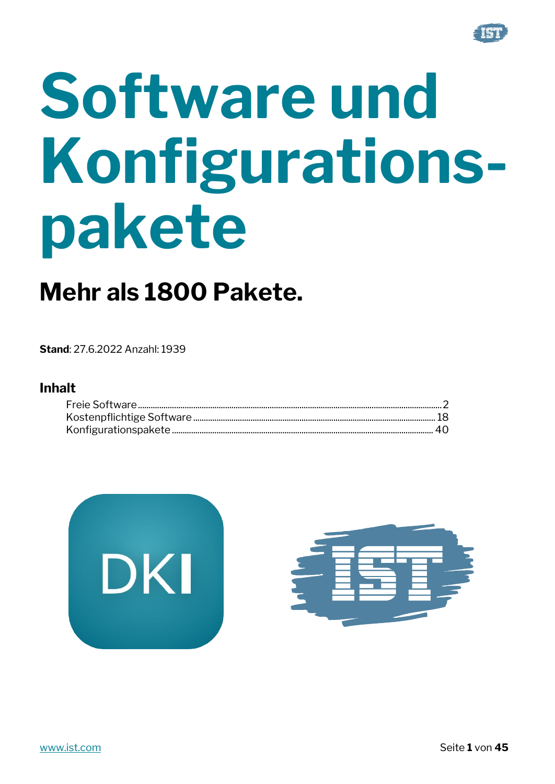

# Software und Konfigurationspakete

# Mehr als 1800 Pakete.

**Stand: 27.6.2022 Anzahl: 1939** 

#### **Inhalt**



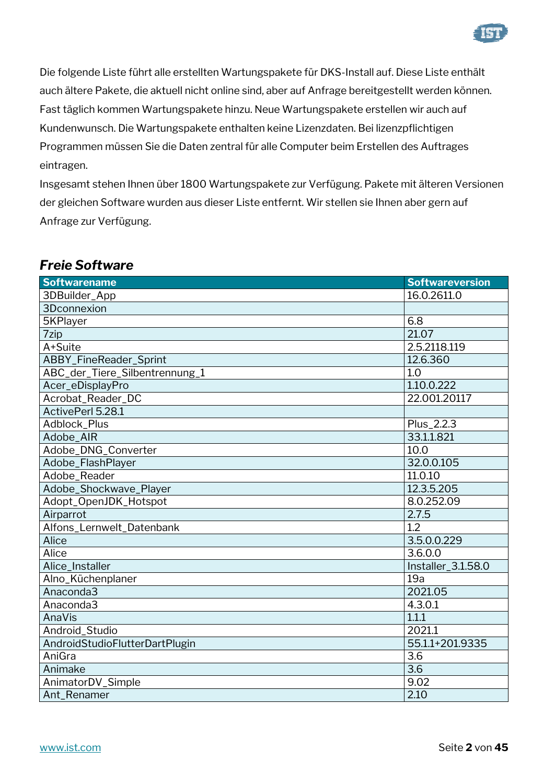

Die folgende Liste führt alle erstellten Wartungspakete für DKS-Install auf. Diese Liste enthält auch ältere Pakete, die aktuell nicht online sind, aber auf Anfrage bereitgestellt werden können. Fast täglich kommen Wartungspakete hinzu. Neue Wartungspakete erstellen wir auch auf Kundenwunsch. Die Wartungspakete enthalten keine Lizenzdaten. Bei lizenzpflichtigen Programmen müssen Sie die Daten zentral für alle Computer beim Erstellen des Auftrages eintragen.

Insgesamt stehen Ihnen über 1800 Wartungspakete zur Verfügung. Pakete mit älteren Versionen der gleichen Software wurden aus dieser Liste entfernt. Wir stellen sie Ihnen aber gern auf Anfrage zur Verfügung.

| <b>Softwarename</b>            | <b>Softwareversion</b> |
|--------------------------------|------------------------|
| 3DBuilder_App                  | 16.0.2611.0            |
| 3Dconnexion                    |                        |
| 5KPlayer                       | 6.8                    |
| 7zip                           | 21.07                  |
| A+Suite                        | 2.5.2118.119           |
| ABBY_FineReader_Sprint         | 12.6.360               |
| ABC_der_Tiere_Silbentrennung_1 | 1.0                    |
| Acer_eDisplayPro               | 1.10.0.222             |
| Acrobat_Reader_DC              | 22.001.20117           |
| ActivePerl 5.28.1              |                        |
| Adblock_Plus                   | Plus_2.2.3             |
| Adobe_AIR                      | 33.1.1.821             |
| Adobe_DNG_Converter            | 10.0                   |
| Adobe_FlashPlayer              | 32.0.0.105             |
| Adobe_Reader                   | 11.0.10                |
| Adobe_Shockwave_Player         | 12.3.5.205             |
| Adopt_OpenJDK_Hotspot          | 8.0.252.09             |
| Airparrot                      | 2.7.5                  |
| Alfons_Lernwelt_Datenbank      | 1.2                    |
| Alice                          | 3.5.0.0.229            |
| Alice                          | 3.6.0.0                |
| Alice_Installer                | Installer_3.1.58.0     |
| Alno_Küchenplaner              | 19a                    |
| Anaconda3                      | 2021.05                |
| Anaconda3                      | 4.3.0.1                |
| AnaVis                         | 1.1.1                  |
| Android_Studio                 | 2021.1                 |
| AndroidStudioFlutterDartPlugin | 55.1.1+201.9335        |
| AniGra                         | 3.6                    |
| Animake                        | 3.6                    |
| AnimatorDV_Simple              | 9.02                   |
| Ant Renamer                    | 2.10                   |

#### <span id="page-1-0"></span>*Freie Software*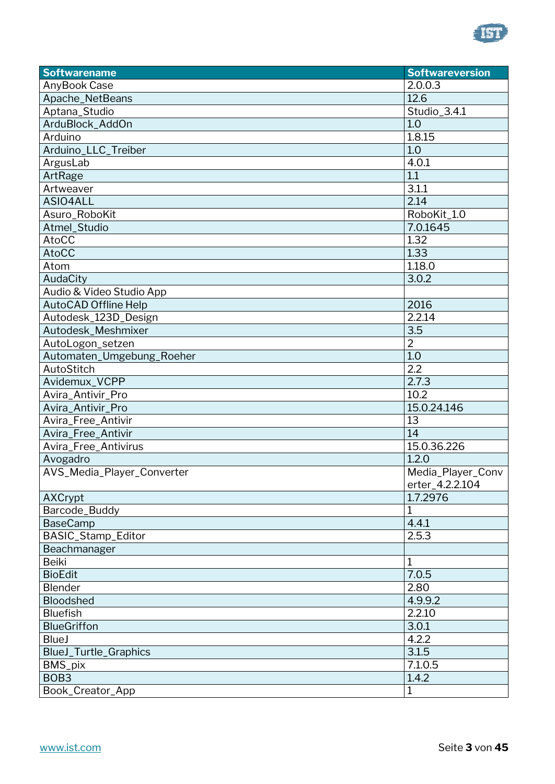

| AnyBook Case<br>2.0.0.3<br>12.6<br>Apache_NetBeans<br>Aptana_Studio<br>Studio_3.4.1<br>ArduBlock_AddOn<br>1.0<br>1.8.15<br>Arduino<br>Arduino_LLC_Treiber<br>1.0<br>ArgusLab<br>4.0.1<br>1.1<br>ArtRage<br>3.1.1<br>Artweaver<br>2.14<br>ASIO4ALL<br>RoboKit_1.0<br>Asuro_RoboKit<br>Atmel_Studio<br>7.0.1645<br>AtoCC<br>1.32<br><b>AtoCC</b><br>1.33<br>1.18.0<br>Atom<br>3.0.2<br>AudaCity<br>Audio & Video Studio App<br><b>AutoCAD Offline Help</b><br>2016<br>2.2.14<br>Autodesk_123D_Design<br>Autodesk_Meshmixer<br>3.5<br>$\overline{2}$<br>AutoLogon_setzen<br>1.0<br>Automaten_Umgebung_Roeher<br>2.2<br>AutoStitch<br>Avidemux_VCPP<br>2.7.3<br>10.2<br>Avira_Antivir_Pro<br>15.0.24.146<br>Avira_Antivir_Pro<br>Avira_Free_Antivir<br>13<br>Avira_Free_Antivir<br>14<br>15.0.36.226<br>Avira_Free_Antivirus<br>1.2.0<br>Avogadro<br>AVS_Media_Player_Converter<br>Media_Player_Conv<br>erter_4.2.2.104<br><b>AXCrypt</b><br>1.7.2976 |
|---------------------------------------------------------------------------------------------------------------------------------------------------------------------------------------------------------------------------------------------------------------------------------------------------------------------------------------------------------------------------------------------------------------------------------------------------------------------------------------------------------------------------------------------------------------------------------------------------------------------------------------------------------------------------------------------------------------------------------------------------------------------------------------------------------------------------------------------------------------------------------------------------------------------------------------------------|
|                                                                                                                                                                                                                                                                                                                                                                                                                                                                                                                                                                                                                                                                                                                                                                                                                                                                                                                                                   |
|                                                                                                                                                                                                                                                                                                                                                                                                                                                                                                                                                                                                                                                                                                                                                                                                                                                                                                                                                   |
|                                                                                                                                                                                                                                                                                                                                                                                                                                                                                                                                                                                                                                                                                                                                                                                                                                                                                                                                                   |
|                                                                                                                                                                                                                                                                                                                                                                                                                                                                                                                                                                                                                                                                                                                                                                                                                                                                                                                                                   |
|                                                                                                                                                                                                                                                                                                                                                                                                                                                                                                                                                                                                                                                                                                                                                                                                                                                                                                                                                   |
|                                                                                                                                                                                                                                                                                                                                                                                                                                                                                                                                                                                                                                                                                                                                                                                                                                                                                                                                                   |
|                                                                                                                                                                                                                                                                                                                                                                                                                                                                                                                                                                                                                                                                                                                                                                                                                                                                                                                                                   |
|                                                                                                                                                                                                                                                                                                                                                                                                                                                                                                                                                                                                                                                                                                                                                                                                                                                                                                                                                   |
|                                                                                                                                                                                                                                                                                                                                                                                                                                                                                                                                                                                                                                                                                                                                                                                                                                                                                                                                                   |
|                                                                                                                                                                                                                                                                                                                                                                                                                                                                                                                                                                                                                                                                                                                                                                                                                                                                                                                                                   |
|                                                                                                                                                                                                                                                                                                                                                                                                                                                                                                                                                                                                                                                                                                                                                                                                                                                                                                                                                   |
|                                                                                                                                                                                                                                                                                                                                                                                                                                                                                                                                                                                                                                                                                                                                                                                                                                                                                                                                                   |
|                                                                                                                                                                                                                                                                                                                                                                                                                                                                                                                                                                                                                                                                                                                                                                                                                                                                                                                                                   |
|                                                                                                                                                                                                                                                                                                                                                                                                                                                                                                                                                                                                                                                                                                                                                                                                                                                                                                                                                   |
|                                                                                                                                                                                                                                                                                                                                                                                                                                                                                                                                                                                                                                                                                                                                                                                                                                                                                                                                                   |
|                                                                                                                                                                                                                                                                                                                                                                                                                                                                                                                                                                                                                                                                                                                                                                                                                                                                                                                                                   |
|                                                                                                                                                                                                                                                                                                                                                                                                                                                                                                                                                                                                                                                                                                                                                                                                                                                                                                                                                   |
|                                                                                                                                                                                                                                                                                                                                                                                                                                                                                                                                                                                                                                                                                                                                                                                                                                                                                                                                                   |
|                                                                                                                                                                                                                                                                                                                                                                                                                                                                                                                                                                                                                                                                                                                                                                                                                                                                                                                                                   |
|                                                                                                                                                                                                                                                                                                                                                                                                                                                                                                                                                                                                                                                                                                                                                                                                                                                                                                                                                   |
|                                                                                                                                                                                                                                                                                                                                                                                                                                                                                                                                                                                                                                                                                                                                                                                                                                                                                                                                                   |
|                                                                                                                                                                                                                                                                                                                                                                                                                                                                                                                                                                                                                                                                                                                                                                                                                                                                                                                                                   |
|                                                                                                                                                                                                                                                                                                                                                                                                                                                                                                                                                                                                                                                                                                                                                                                                                                                                                                                                                   |
|                                                                                                                                                                                                                                                                                                                                                                                                                                                                                                                                                                                                                                                                                                                                                                                                                                                                                                                                                   |
|                                                                                                                                                                                                                                                                                                                                                                                                                                                                                                                                                                                                                                                                                                                                                                                                                                                                                                                                                   |
|                                                                                                                                                                                                                                                                                                                                                                                                                                                                                                                                                                                                                                                                                                                                                                                                                                                                                                                                                   |
|                                                                                                                                                                                                                                                                                                                                                                                                                                                                                                                                                                                                                                                                                                                                                                                                                                                                                                                                                   |
|                                                                                                                                                                                                                                                                                                                                                                                                                                                                                                                                                                                                                                                                                                                                                                                                                                                                                                                                                   |
|                                                                                                                                                                                                                                                                                                                                                                                                                                                                                                                                                                                                                                                                                                                                                                                                                                                                                                                                                   |
|                                                                                                                                                                                                                                                                                                                                                                                                                                                                                                                                                                                                                                                                                                                                                                                                                                                                                                                                                   |
|                                                                                                                                                                                                                                                                                                                                                                                                                                                                                                                                                                                                                                                                                                                                                                                                                                                                                                                                                   |
|                                                                                                                                                                                                                                                                                                                                                                                                                                                                                                                                                                                                                                                                                                                                                                                                                                                                                                                                                   |
|                                                                                                                                                                                                                                                                                                                                                                                                                                                                                                                                                                                                                                                                                                                                                                                                                                                                                                                                                   |
| Barcode_Buddy<br>1                                                                                                                                                                                                                                                                                                                                                                                                                                                                                                                                                                                                                                                                                                                                                                                                                                                                                                                                |
| 4.4.1<br><b>BaseCamp</b>                                                                                                                                                                                                                                                                                                                                                                                                                                                                                                                                                                                                                                                                                                                                                                                                                                                                                                                          |
| BASIC_Stamp_Editor<br>2.5.3                                                                                                                                                                                                                                                                                                                                                                                                                                                                                                                                                                                                                                                                                                                                                                                                                                                                                                                       |
| Beachmanager                                                                                                                                                                                                                                                                                                                                                                                                                                                                                                                                                                                                                                                                                                                                                                                                                                                                                                                                      |
| Beiki<br>1                                                                                                                                                                                                                                                                                                                                                                                                                                                                                                                                                                                                                                                                                                                                                                                                                                                                                                                                        |
| <b>BioEdit</b><br>7.0.5                                                                                                                                                                                                                                                                                                                                                                                                                                                                                                                                                                                                                                                                                                                                                                                                                                                                                                                           |
| Blender<br>2.80                                                                                                                                                                                                                                                                                                                                                                                                                                                                                                                                                                                                                                                                                                                                                                                                                                                                                                                                   |
| 4.9.9.2<br>Bloodshed                                                                                                                                                                                                                                                                                                                                                                                                                                                                                                                                                                                                                                                                                                                                                                                                                                                                                                                              |
| <b>Bluefish</b><br>2.2.10                                                                                                                                                                                                                                                                                                                                                                                                                                                                                                                                                                                                                                                                                                                                                                                                                                                                                                                         |
| <b>BlueGriffon</b><br>3.0.1                                                                                                                                                                                                                                                                                                                                                                                                                                                                                                                                                                                                                                                                                                                                                                                                                                                                                                                       |
| 4.2.2<br><b>BlueJ</b>                                                                                                                                                                                                                                                                                                                                                                                                                                                                                                                                                                                                                                                                                                                                                                                                                                                                                                                             |
| 3.1.5<br><b>BlueJ_Turtle_Graphics</b>                                                                                                                                                                                                                                                                                                                                                                                                                                                                                                                                                                                                                                                                                                                                                                                                                                                                                                             |
| BMS_pix<br>7.1.0.5                                                                                                                                                                                                                                                                                                                                                                                                                                                                                                                                                                                                                                                                                                                                                                                                                                                                                                                                |
| BOB <sub>3</sub><br>1.4.2                                                                                                                                                                                                                                                                                                                                                                                                                                                                                                                                                                                                                                                                                                                                                                                                                                                                                                                         |
| Book_Creator_App<br>1                                                                                                                                                                                                                                                                                                                                                                                                                                                                                                                                                                                                                                                                                                                                                                                                                                                                                                                             |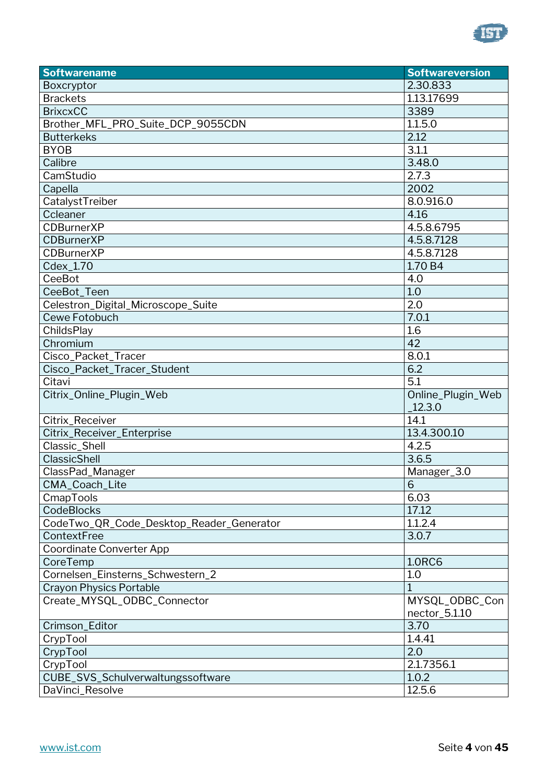

| <b>Softwarename</b>                      | <b>Softwareversion</b>          |
|------------------------------------------|---------------------------------|
| Boxcryptor                               | 2.30.833                        |
| <b>Brackets</b>                          | 1.13.17699                      |
| <b>BrixcxCC</b>                          | 3389                            |
| Brother_MFL_PRO_Suite_DCP_9055CDN        | 1.1.5.0                         |
| <b>Butterkeks</b>                        | 2.12                            |
| <b>BYOB</b>                              | 3.1.1                           |
| Calibre                                  | 3.48.0                          |
| CamStudio                                | 2.7.3                           |
| Capella                                  | 2002                            |
| CatalystTreiber                          | 8.0.916.0                       |
| Ccleaner                                 | 4.16                            |
| <b>CDBurnerXP</b>                        | 4.5.8.6795                      |
| <b>CDBurnerXP</b>                        | 4.5.8.7128                      |
| <b>CDBurnerXP</b>                        | 4.5.8.7128                      |
| Cdex_1.70                                | 1.70 B4                         |
| CeeBot                                   | 4.0                             |
| CeeBot_Teen                              | 1.0                             |
| Celestron_Digital_Microscope_Suite       | 2.0                             |
| Cewe Fotobuch                            | 7.0.1                           |
| ChildsPlay                               | 1.6                             |
| Chromium                                 | 42                              |
| Cisco_Packet_Tracer                      | 8.0.1                           |
| Cisco_Packet_Tracer_Student              | 6.2                             |
| Citavi                                   | 5.1                             |
| Citrix_Online_Plugin_Web                 | Online_Plugin_Web<br>12.3.0     |
| Citrix_Receiver                          | 14.1                            |
| Citrix_Receiver_Enterprise               | 13.4.300.10                     |
| Classic_Shell                            | 4.2.5                           |
| ClassicShell                             | 3.6.5                           |
| ClassPad_Manager                         | Manager_3.0                     |
| CMA_Coach_Lite                           | 6 <sup>1</sup>                  |
| CmapTools                                | 6.03                            |
| CodeBlocks                               | 17.12                           |
| CodeTwo_QR_Code_Desktop_Reader_Generator | 1.1.2.4                         |
| ContextFree                              | 3.0.7                           |
| <b>Coordinate Converter App</b>          |                                 |
| CoreTemp                                 | <b>1.0RC6</b>                   |
| Cornelsen_Einsterns_Schwestern_2         | 1.0                             |
| <b>Crayon Physics Portable</b>           | 1                               |
| Create_MYSQL_ODBC_Connector              | MYSQL_ODBC_Con<br>nector_5.1.10 |
| Crimson_Editor                           | 3.70                            |
| CrypTool                                 | 1.4.41                          |
| CrypTool                                 | 2.0                             |
| CrypTool                                 | 2.1.7356.1                      |
| CUBE_SVS_Schulverwaltungssoftware        | 1.0.2                           |
| DaVinci_Resolve                          | 12.5.6                          |
|                                          |                                 |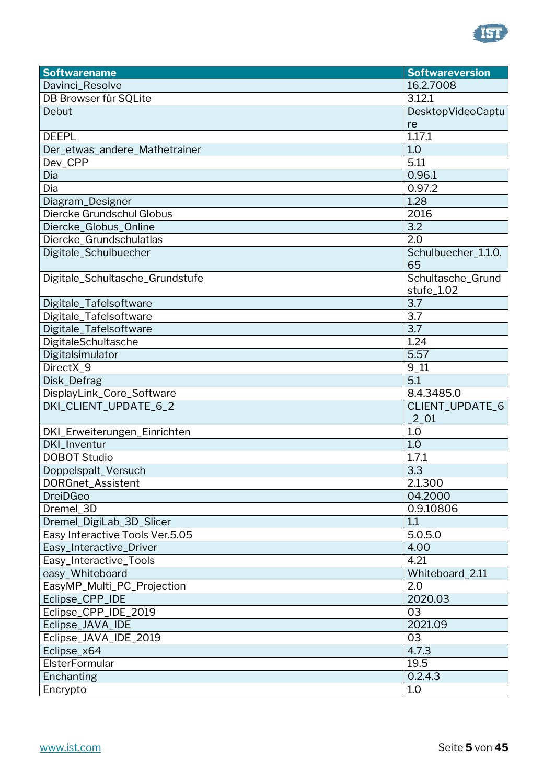

| <b>Softwarename</b>             | <b>Softwareversion</b>   |
|---------------------------------|--------------------------|
| Davinci_Resolve                 | 16.2.7008                |
| DB Browser für SQLite           | 3.12.1                   |
| Debut                           | <b>DesktopVideoCaptu</b> |
|                                 | re                       |
| <b>DEEPL</b>                    | 1.17.1                   |
| Der_etwas_andere_Mathetrainer   | 1.0                      |
| Dev_CPP                         | 5.11                     |
| Dia                             | 0.96.1                   |
| Dia                             | 0.97.2                   |
| Diagram_Designer                | 1.28                     |
| Diercke Grundschul Globus       | 2016                     |
| Diercke_Globus_Online           | 3.2                      |
| Diercke_Grundschulatlas         | 2.0                      |
| Digitale_Schulbuecher           | Schulbuecher_1.1.0.      |
|                                 | 65                       |
| Digitale_Schultasche_Grundstufe | Schultasche_Grund        |
|                                 | stufe_1.02               |
| Digitale_Tafelsoftware          | 3.7                      |
| Digitale_Tafelsoftware          | 3.7                      |
| Digitale_Tafelsoftware          | 3.7                      |
| DigitaleSchultasche             | 1.24                     |
| Digitalsimulator                | 5.57                     |
| DirectX_9                       | $9 - 11$                 |
| Disk_Defrag                     | 5.1                      |
| DisplayLink_Core_Software       | 8.4.3485.0               |
| DKI_CLIENT_UPDATE_6_2           | CLIENT_UPDATE_6          |
|                                 | $\_2\_01$                |
| DKI_Erweiterungen_Einrichten    | 1.0                      |
| DKI_Inventur                    | 1.0                      |
| <b>DOBOT Studio</b>             | 1.7.1                    |
| Doppelspalt_Versuch             | 3.3                      |
| DORGnet_Assistent               | 2.1.300                  |
| <b>DreiDGeo</b>                 | 04.2000                  |
| Dremel 3D                       | 0.9.10806                |
| Dremel_DigiLab_3D_Slicer        | 1.1                      |
| Easy Interactive Tools Ver.5.05 | 5.0.5.0                  |
| Easy_Interactive_Driver         | 4.00                     |
| Easy_Interactive_Tools          | 4.21                     |
| easy_Whiteboard                 | Whiteboard_2.11          |
| EasyMP_Multi_PC_Projection      | 2.0                      |
| Eclipse_CPP_IDE                 | 2020.03                  |
| Eclipse_CPP_IDE_2019            | 03                       |
| Eclipse_JAVA_IDE                | 2021.09                  |
| Eclipse_JAVA_IDE_2019           | 03                       |
| Eclipse_x64                     | 4.7.3                    |
| ElsterFormular                  | 19.5                     |
| Enchanting                      | 0.2.4.3                  |
| Encrypto                        | 1.0                      |
|                                 |                          |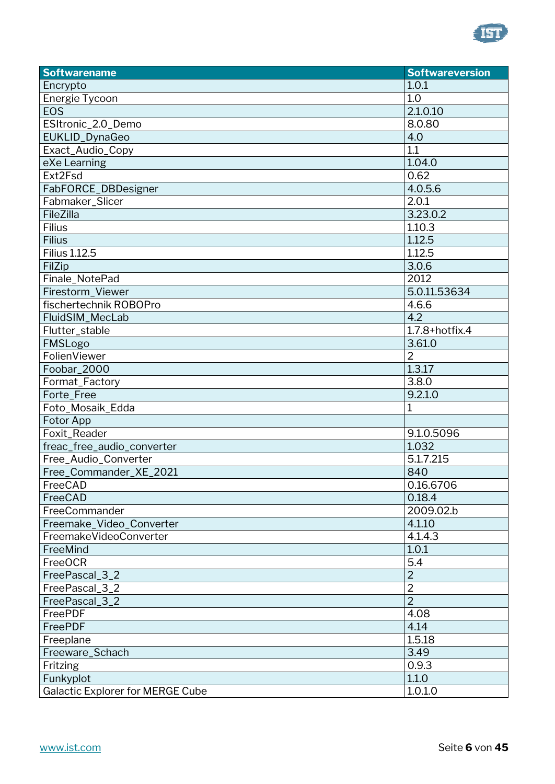

| <b>Softwarename</b>                     | <b>Softwareversion</b> |
|-----------------------------------------|------------------------|
| Encrypto                                | 1.0.1                  |
| Energie Tycoon                          | 1.0                    |
| <b>EOS</b>                              | 2.1.0.10               |
| ESItronic_2.0_Demo                      | 8.0.80                 |
| EUKLID_DynaGeo                          | 4.0                    |
| Exact_Audio_Copy                        | 1.1                    |
| eXe Learning                            | 1.04.0                 |
| Ext2Fsd                                 | 0.62                   |
| FabFORCE_DBDesigner                     | 4.0.5.6                |
| Fabmaker_Slicer                         | 2.0.1                  |
| FileZilla                               | 3.23.0.2               |
| Filius                                  | 1.10.3                 |
| <b>Filius</b>                           | 1.12.5                 |
| <b>Filius 1.12.5</b>                    | 1.12.5                 |
| FilZip                                  | 3.0.6                  |
| Finale_NotePad                          | 2012                   |
| Firestorm Viewer                        | 5.0.11.53634           |
| fischertechnik ROBOPro                  | 4.6.6                  |
| FluidSIM_MecLab                         | 4.2                    |
| Flutter_stable                          | $1.7.8 +$ hotfix.4     |
| FMSLogo                                 | 3.61.0                 |
| FolienViewer                            | $\overline{2}$         |
| Foobar_2000                             | 1.3.17                 |
| Format_Factory                          | 3.8.0                  |
| Forte_Free                              | 9.2.1.0                |
| Foto_Mosaik_Edda                        | 1                      |
| Fotor App                               |                        |
| Foxit_Reader                            | 9.1.0.5096             |
| freac_free_audio_converter              | 1.032                  |
| Free_Audio_Converter                    | 5.1.7.215              |
| Free_Commander_XE_2021                  | 840                    |
| FreeCAD                                 | 0.16.6706              |
| FreeCAD                                 | 0.18.4                 |
| FreeCommander                           | 2009.02.b              |
| Freemake_Video_Converter                | 4.1.10                 |
| FreemakeVideoConverter                  | 4.1.4.3                |
| FreeMind                                | 1.0.1                  |
| <b>FreeOCR</b>                          | 5.4                    |
| FreePascal_3_2                          | $\overline{2}$         |
| FreePascal_3_2                          | $\overline{2}$         |
| FreePascal_3_2                          | $\overline{2}$         |
| FreePDF                                 | 4.08                   |
| FreePDF                                 | 4.14                   |
| Freeplane                               | 1.5.18                 |
| Freeware_Schach                         | 3.49                   |
| Fritzing                                | 0.9.3                  |
| Funkyplot                               | 1.1.0                  |
| <b>Galactic Explorer for MERGE Cube</b> | 1.0.1.0                |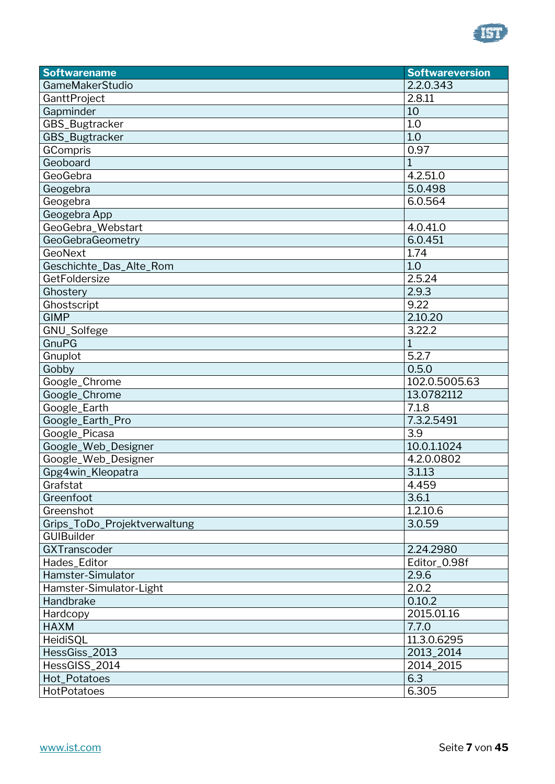

| <b>Softwarename</b>          | <b>Softwareversion</b> |
|------------------------------|------------------------|
| GameMakerStudio              | 2.2.0.343              |
| GanttProject                 | 2.8.11                 |
| Gapminder                    | 10                     |
| GBS_Bugtracker               | 1.0                    |
| GBS_Bugtracker               | 1.0                    |
| GCompris                     | 0.97                   |
| Geoboard                     | 1                      |
| GeoGebra                     | 4.2.51.0               |
| Geogebra                     | 5.0.498                |
| Geogebra                     | 6.0.564                |
| Geogebra App                 |                        |
| GeoGebra_Webstart            | 4.0.41.0               |
| GeoGebraGeometry             | 6.0.451                |
| GeoNext                      | 1.74                   |
| Geschichte_Das_Alte_Rom      | 1.0                    |
| GetFoldersize                | 2.5.24                 |
| Ghostery                     | 2.9.3                  |
| Ghostscript                  | 9.22                   |
| <b>GIMP</b>                  | 2.10.20                |
| GNU_Solfege                  | 3.22.2                 |
| <b>GnuPG</b>                 | $\mathbf{1}$           |
| Gnuplot                      | 5.2.7                  |
| Gobby                        | 0.5.0                  |
| Google_Chrome                | 102.0.5005.63          |
| Google_Chrome                | 13.0782112             |
| Google_Earth                 | 7.1.8                  |
| Google_Earth_Pro             | 7.3.2.5491             |
| Google_Picasa                | 3.9                    |
| Google_Web_Designer          | 10.0.1.1024            |
| Google_Web_Designer          | 4.2.0.0802             |
| Gpg4win_Kleopatra            | 3.1.13                 |
| Grafstat                     | 4.459                  |
| Greenfoot                    | 3.6.1                  |
| Greenshot                    | 1.2.10.6               |
| Grips_ToDo_Projektverwaltung | 3.0.59                 |
| <b>GUIBuilder</b>            |                        |
| GXTranscoder                 | 2.24.2980              |
| Hades_Editor                 | Editor_0.98f           |
| Hamster-Simulator            | 2.9.6                  |
| Hamster-Simulator-Light      | 2.0.2                  |
| Handbrake                    | 0.10.2                 |
| Hardcopy                     | 2015.01.16             |
| <b>HAXM</b>                  | 7.7.0                  |
| HeidiSQL                     | 11.3.0.6295            |
| HessGiss_2013                | 2013_2014              |
| HessGISS_2014                | 2014_2015              |
| Hot_Potatoes                 | 6.3                    |
| HotPotatoes                  | 6.305                  |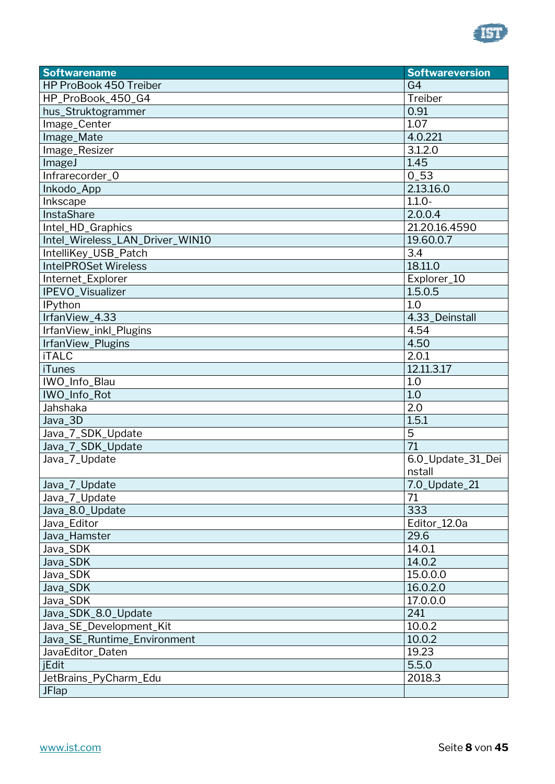

| <b>Softwarename</b>             | <b>Softwareversion</b> |
|---------------------------------|------------------------|
| HP ProBook 450 Treiber          | G <sub>4</sub>         |
| HP_ProBook_450_G4               | Treiber                |
| hus_Struktogrammer              | 0.91                   |
| Image_Center                    | 1.07                   |
| Image_Mate                      | 4.0.221                |
| Image_Resizer                   | 3.1.2.0                |
| ImageJ                          | 1.45                   |
| Infrarecorder_0                 | $0_{-}53$              |
| Inkodo_App                      | 2.13.16.0              |
| Inkscape                        | $1.1.0 -$              |
| InstaShare                      | 2.0.0.4                |
| Intel_HD_Graphics               | 21.20.16.4590          |
| Intel_Wireless_LAN_Driver_WIN10 | 19.60.0.7              |
| IntelliKey_USB_Patch            | 3.4                    |
| <b>IntelPROSet Wireless</b>     | 18.11.0                |
| Internet_Explorer               | Explorer_10            |
| IPEVO_Visualizer                | 1.5.0.5                |
| <b>IPython</b>                  | 1.0                    |
| IrfanView_4.33                  | 4.33_Deinstall         |
| IrfanView_inkl_Plugins          | 4.54                   |
| IrfanView_Plugins               | 4.50                   |
| <b>iTALC</b>                    | 2.0.1                  |
| <b>iTunes</b>                   | 12.11.3.17             |
| IWO_Info_Blau                   | 1.0                    |
| IWO_Info_Rot                    | 1.0                    |
| Jahshaka                        | 2.0                    |
| Java_3D                         | 1.5.1                  |
| Java_7_SDK_Update               | 5                      |
| Java_7_SDK_Update               | 71                     |
| Java_7_Update                   | 6.0_Update_31_Dei      |
|                                 | nstall                 |
| Java_7_Update                   | 7.0_Update_21          |
| Java_7_Update                   | 71                     |
| Java_8.0_Update                 | 333                    |
| Java_Editor                     | Editor_12.0a           |
| Java_Hamster                    | 29.6                   |
| Java_SDK                        | 14.0.1                 |
| Java_SDK                        | 14.0.2                 |
| Java_SDK                        | 15.0.0.0               |
| Java_SDK                        | 16.0.2.0               |
| Java_SDK                        | 17.0.0.0               |
| Java_SDK_8.0_Update             | 241                    |
| Java_SE_Development_Kit         | 10.0.2                 |
| Java_SE_Runtime_Environment     | 10.0.2                 |
| JavaEditor_Daten                | 19.23                  |
| jEdit                           | 5.5.0                  |
| JetBrains_PyCharm_Edu           | 2018.3                 |
| <b>JFlap</b>                    |                        |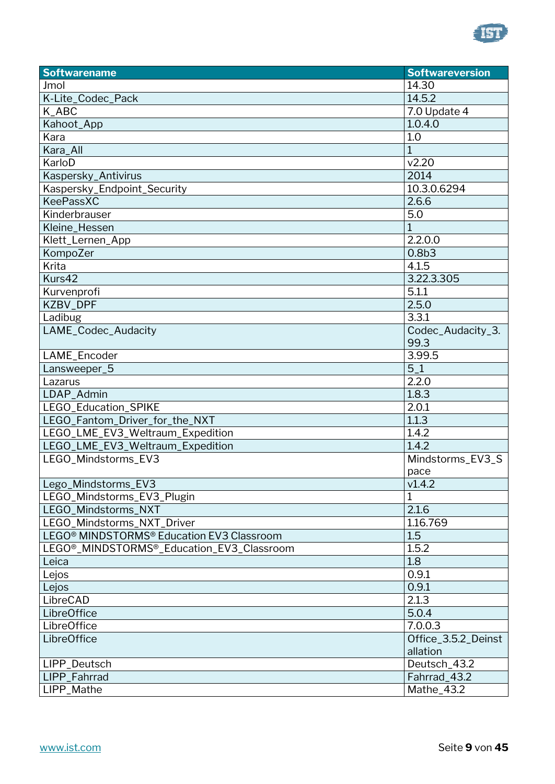

| <b>Softwarename</b>                                                 | <b>Softwareversion</b> |
|---------------------------------------------------------------------|------------------------|
| Jmol                                                                | 14.30                  |
| K-Lite_Codec_Pack                                                   | 14.5.2                 |
| K_ABC                                                               | 7.0 Update 4           |
| Kahoot_App                                                          | 1.0.4.0                |
| Kara                                                                | 1.0                    |
| Kara_All                                                            | $\mathbf{1}$           |
| KarloD                                                              | v2.20                  |
| Kaspersky_Antivirus                                                 | 2014                   |
| Kaspersky_Endpoint_Security                                         | 10.3.0.6294            |
| <b>KeePassXC</b>                                                    | 2.6.6                  |
| Kinderbrauser                                                       | 5.0                    |
| Kleine_Hessen                                                       | $\overline{1}$         |
| Klett_Lernen_App                                                    | 2.2.0.0                |
| KompoZer                                                            | 0.8 <sub>b3</sub>      |
| Krita                                                               | 4.1.5                  |
| Kurs42                                                              | 3.22.3.305             |
| Kurvenprofi                                                         | 5.1.1                  |
| KZBV_DPF                                                            | 2.5.0                  |
| Ladibug                                                             | 3.3.1                  |
| LAME_Codec_Audacity                                                 | Codec_Audacity_3.      |
|                                                                     | 99.3                   |
| LAME_Encoder                                                        | 3.99.5                 |
| Lansweeper_5                                                        | $5-1$                  |
| Lazarus                                                             | 2.2.0                  |
| LDAP_Admin                                                          | 1.8.3                  |
| LEGO_Education_SPIKE                                                | 2.0.1                  |
| LEGO_Fantom_Driver_for_the_NXT                                      | 1.1.3                  |
| LEGO_LME_EV3_Weltraum_Expedition                                    | 1.4.2                  |
| LEGO_LME_EV3_Weltraum_Expedition                                    | 1.4.2                  |
| LEGO_Mindstorms_EV3                                                 | Mindstorms_EV3_S       |
|                                                                     | pace                   |
| Lego_Mindstorms_EV3                                                 | v1.4.2                 |
| LEGO_Mindstorms_EV3_Plugin                                          | 1                      |
| LEGO_Mindstorms_NXT                                                 | 2.1.6                  |
| LEGO_Mindstorms_NXT_Driver                                          | 1.16.769               |
| LEGO <sup>®</sup> MINDSTORMS <sup>®</sup> Education EV3 Classroom   | 1.5                    |
| LEGO <sup>®</sup> _MINDSTORMS <sup>®</sup> _Education_EV3_Classroom | 1.5.2                  |
| Leica                                                               | 1.8                    |
| Lejos                                                               | 0.9.1                  |
| Lejos                                                               | 0.9.1                  |
| LibreCAD                                                            | 2.1.3                  |
| <b>LibreOffice</b>                                                  | 5.0.4                  |
| LibreOffice                                                         | 7.0.0.3                |
| <b>LibreOffice</b>                                                  | Office_3.5.2_Deinst    |
|                                                                     | allation               |
| LIPP_Deutsch                                                        | Deutsch_43.2           |
| LIPP_Fahrrad                                                        | Fahrrad_43.2           |
| LIPP_Mathe                                                          | Mathe_43.2             |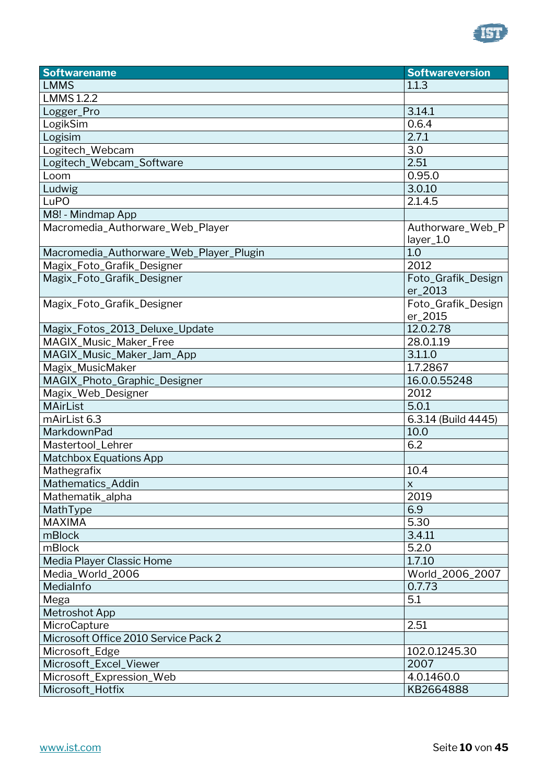

| <b>Softwarename</b>                     | <b>Softwareversion</b>        |
|-----------------------------------------|-------------------------------|
| <b>LMMS</b>                             | 1.1.3                         |
| <b>LMMS 1.2.2</b>                       |                               |
| Logger_Pro                              | 3.14.1                        |
| LogikSim                                | 0.6.4                         |
| Logisim                                 | 2.7.1                         |
| Logitech_Webcam                         | 3.0                           |
| Logitech_Webcam_Software                | 2.51                          |
| Loom                                    | 0.95.0                        |
| Ludwig                                  | 3.0.10                        |
| LuPO                                    | 2.1.4.5                       |
| M8! - Mindmap App                       |                               |
| Macromedia_Authorware_Web_Player        | Authorware_Web_P<br>layer_1.0 |
| Macromedia_Authorware_Web_Player_Plugin | 1.0                           |
| Magix_Foto_Grafik_Designer              | 2012                          |
| Magix_Foto_Grafik_Designer              | Foto_Grafik_Design<br>er_2013 |
| Magix_Foto_Grafik_Designer              | Foto_Grafik_Design<br>er_2015 |
| Magix_Fotos_2013_Deluxe_Update          | 12.0.2.78                     |
| MAGIX_Music_Maker_Free                  | 28.0.1.19                     |
| MAGIX_Music_Maker_Jam_App               | 3.1.1.0                       |
| Magix_MusicMaker                        | 1.7.2867                      |
| MAGIX_Photo_Graphic_Designer            | 16.0.0.55248                  |
| Magix_Web_Designer                      | 2012                          |
| <b>MAirList</b>                         | 5.0.1                         |
| mAirList 6.3                            | 6.3.14 (Build 4445)           |
| MarkdownPad                             | 10.0                          |
| Mastertool_Lehrer                       | 6.2                           |
| <b>Matchbox Equations App</b>           |                               |
| Mathegrafix                             | 10.4                          |
| Mathematics_Addin                       | $\mathsf{X}$                  |
| Mathematik_alpha                        | 2019                          |
| MathType                                | 6.9                           |
| <b>MAXIMA</b>                           | 5.30                          |
| mBlock                                  | 3.4.11                        |
| mBlock                                  | 5.2.0                         |
| Media Player Classic Home               | 1.7.10                        |
| Media_World_2006                        | World_2006_2007               |
| MediaInfo                               | 0.7.73                        |
| Mega                                    | 5.1                           |
| <b>Metroshot App</b>                    |                               |
| MicroCapture                            | 2.51                          |
| Microsoft Office 2010 Service Pack 2    |                               |
| Microsoft_Edge                          | 102.0.1245.30                 |
| Microsoft_Excel_Viewer                  | 2007                          |
| Microsoft_Expression_Web                | 4.0.1460.0                    |
| Microsoft_Hotfix                        | KB2664888                     |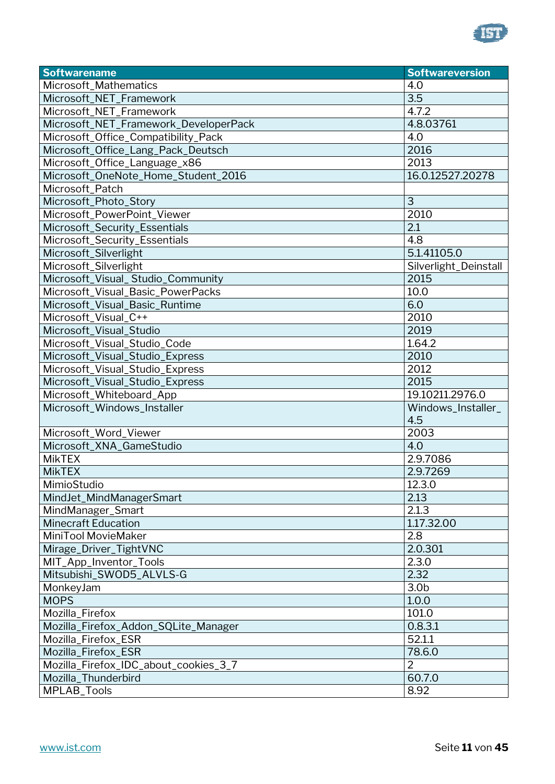

| <b>Softwarename</b>                   | <b>Softwareversion</b> |
|---------------------------------------|------------------------|
| Microsoft_Mathematics                 | 4.0                    |
| Microsoft_NET_Framework               | 3.5                    |
| Microsoft_NET_Framework               | 4.7.2                  |
| Microsoft_NET_Framework_DeveloperPack | 4.8.03761              |
| Microsoft_Office_Compatibility_Pack   | 4.0                    |
| Microsoft_Office_Lang_Pack_Deutsch    | 2016                   |
| Microsoft_Office_Language_x86         | 2013                   |
| Microsoft_OneNote_Home_Student_2016   | 16.0.12527.20278       |
| Microsoft_Patch                       |                        |
| Microsoft_Photo_Story                 | 3                      |
| Microsoft_PowerPoint_Viewer           | 2010                   |
| Microsoft_Security_Essentials         | $\overline{2.1}$       |
| Microsoft_Security_Essentials         | 4.8                    |
| Microsoft_Silverlight                 | 5.1.41105.0            |
| Microsoft_Silverlight                 | Silverlight_Deinstall  |
| Microsoft_Visual_Studio_Community     | 2015                   |
| Microsoft_Visual_Basic_PowerPacks     | 10.0                   |
| Microsoft_Visual_Basic_Runtime        | 6.0                    |
| Microsoft_Visual_C++                  | 2010                   |
| Microsoft_Visual_Studio               | 2019                   |
| Microsoft_Visual_Studio_Code          | 1.64.2                 |
| Microsoft_Visual_Studio_Express       | 2010                   |
| Microsoft_Visual_Studio_Express       | 2012                   |
| Microsoft_Visual_Studio_Express       | 2015                   |
| Microsoft_Whiteboard_App              | 19.10211.2976.0        |
| Microsoft_Windows_Installer           | Windows_Installer_     |
|                                       | 4.5                    |
| Microsoft_Word_Viewer                 | 2003                   |
| Microsoft_XNA_GameStudio              | 4.0                    |
| <b>MikTEX</b>                         | 2.9.7086               |
| <b>MikTEX</b>                         | 2.9.7269               |
| MimioStudio                           | 12.3.0                 |
| MindJet_MindManagerSmart              | 2.13                   |
| MindManager_Smart                     | 2.1.3                  |
| <b>Minecraft Education</b>            | 1.17.32.00             |
| MiniTool MovieMaker                   | 2.8                    |
| Mirage_Driver_TightVNC                | 2.0.301                |
| MIT_App_Inventor_Tools                | 2.3.0                  |
| Mitsubishi_SWOD5_ALVLS-G              | 2.32                   |
| MonkeyJam                             | 3.0 <sub>b</sub>       |
| <b>MOPS</b>                           | 1.0.0                  |
| Mozilla_Firefox                       | 101.0                  |
| Mozilla_Firefox_Addon_SQLite_Manager  | 0.8.3.1                |
| Mozilla_Firefox_ESR                   | 52.1.1                 |
| Mozilla_Firefox_ESR                   | 78.6.0                 |
| Mozilla_Firefox_IDC_about_cookies_3_7 | $\overline{2}$         |
| Mozilla_Thunderbird                   | 60.7.0                 |
| MPLAB_Tools                           | 8.92                   |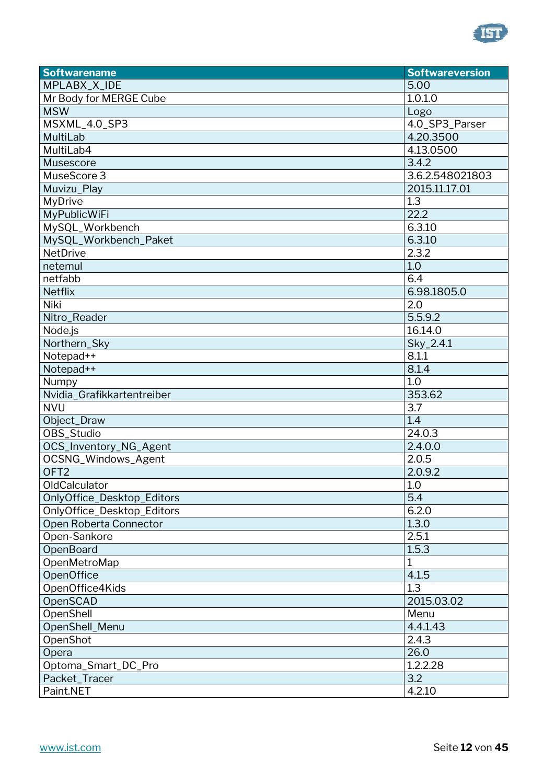

| <b>Softwarename</b>        | <b>Softwareversion</b> |
|----------------------------|------------------------|
| MPLABX_X_IDE               | 5.00                   |
| Mr Body for MERGE Cube     | 1.0.1.0                |
| <b>MSW</b>                 | Logo                   |
| MSXML_4.0_SP3              | 4.0_SP3_Parser         |
| MultiLab                   | 4.20.3500              |
| MultiLab4                  | 4.13.0500              |
| Musescore                  | 3.4.2                  |
| MuseScore 3                | 3.6.2.548021803        |
| Muvizu_Play                | 2015.11.17.01          |
| MyDrive                    | 1.3                    |
| <b>MyPublicWiFi</b>        | 22.2                   |
| MySQL_Workbench            | 6.3.10                 |
| MySQL_Workbench_Paket      | 6.3.10                 |
| <b>NetDrive</b>            | 2.3.2                  |
| netemul                    | 1.0                    |
| netfabb                    | 6.4                    |
| Netflix                    | 6.98.1805.0            |
| Niki                       | 2.0                    |
| Nitro_Reader               | 5.5.9.2                |
| Node.js                    | 16.14.0                |
| Northern_Sky               | $Sky_2.4.1$            |
| Notepad++                  | 8.1.1                  |
| Notepad++                  | 8.1.4                  |
| Numpy                      | 1.0                    |
| Nvidia_Grafikkartentreiber | 353.62                 |
| <b>NVU</b>                 | 3.7                    |
| Object_Draw                | 1.4                    |
| OBS_Studio                 | $\overline{24.0.3}$    |
| OCS_Inventory_NG_Agent     | 2.4.0.0                |
| OCSNG_Windows_Agent        | 2.0.5                  |
| OFT <sub>2</sub>           | 2.0.9.2                |
| <b>OldCalculator</b>       | 1.0                    |
| OnlyOffice_Desktop_Editors | 5.4                    |
| OnlyOffice_Desktop_Editors | 6.2.0                  |
| Open Roberta Connector     | 1.3.0                  |
| Open-Sankore               | 2.5.1                  |
| <b>OpenBoard</b>           | 1.5.3                  |
| OpenMetroMap               | 1                      |
| <b>OpenOffice</b>          | 4.1.5                  |
| OpenOffice4Kids            | 1.3                    |
| OpenSCAD                   | 2015.03.02             |
| OpenShell                  | Menu                   |
| OpenShell_Menu             | 4.4.1.43               |
| OpenShot                   | 2.4.3                  |
| Opera                      | 26.0                   |
| Optoma_Smart_DC_Pro        | 1.2.2.28               |
| Packet_Tracer              | 3.2                    |
| Paint.NET                  | 4.2.10                 |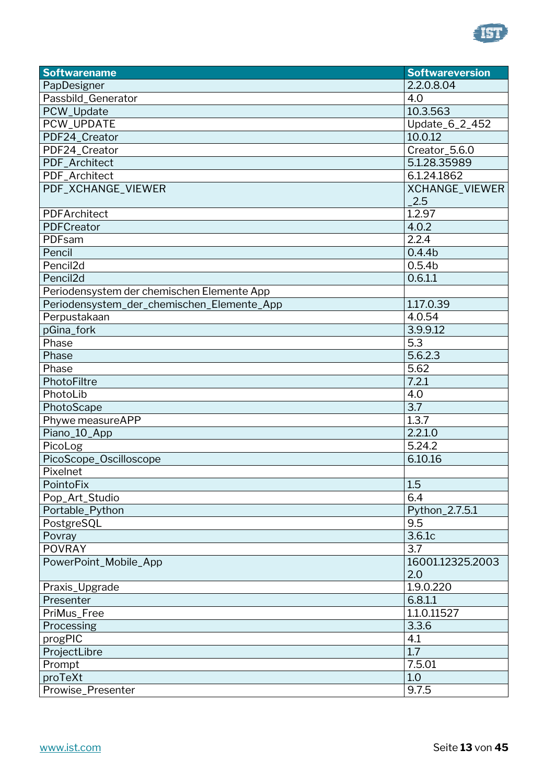

| <b>Softwarename</b>                        | <b>Softwareversion</b> |
|--------------------------------------------|------------------------|
| PapDesigner                                | 2.2.0.8.04             |
| Passbild_Generator                         | 4.0                    |
| PCW_Update                                 | 10.3.563               |
| PCW_UPDATE                                 | Update_6_2_452         |
| PDF24_Creator                              | 10.0.12                |
| PDF24_Creator                              | Creator_5.6.0          |
| PDF_Architect                              | 5.1.28.35989           |
| PDF_Architect                              | 6.1.24.1862            |
| PDF_XCHANGE_VIEWER                         | XCHANGE_VIEWER         |
|                                            | 2.5                    |
| PDFArchitect                               | 1.2.97                 |
| PDFCreator                                 | 4.0.2                  |
| PDFsam                                     | 2.2.4                  |
| Pencil                                     | 0.4.4 <sub>b</sub>     |
| Pencil <sub>2d</sub>                       | 0.5.4 <sub>b</sub>     |
| Pencil <sub>2d</sub>                       | 0.6.1.1                |
| Periodensystem der chemischen Elemente App |                        |
| Periodensystem_der_chemischen_Elemente_App | 1.17.0.39              |
| Perpustakaan                               | 4.0.54                 |
| pGina_fork                                 | 3.9.9.12               |
| Phase                                      | 5.3                    |
| Phase                                      | 5.6.2.3                |
| Phase                                      | 5.62                   |
| PhotoFiltre                                | 7.2.1                  |
| PhotoLib                                   | 4.0                    |
| PhotoScape                                 | 3.7                    |
| Phywe measureAPP                           | 1.3.7                  |
| Piano_10_App                               | 2.2.1.0                |
| PicoLog                                    | 5.24.2                 |
| PicoScope_Oscilloscope                     | 6.10.16                |
| Pixelnet                                   |                        |
| PointoFix                                  | 1.5                    |
| Pop_Art_Studio                             | 6.4                    |
| Portable_Python                            | Python_2.7.5.1         |
| PostgreSQL                                 | 9.5                    |
| Povray                                     | 3.6.1c                 |
| <b>POVRAY</b>                              | 3.7                    |
| PowerPoint_Mobile_App                      | 16001.12325.2003       |
|                                            | 2.0                    |
| Praxis_Upgrade                             | 1.9.0.220              |
| Presenter                                  | 6.8.1.1                |
| PriMus_Free                                | 1.1.0.11527            |
| Processing                                 | 3.3.6                  |
| progPIC                                    | 4.1                    |
| ProjectLibre                               | 1.7                    |
| Prompt                                     | 7.5.01                 |
| proTeXt                                    | 1.0                    |
| Prowise_Presenter                          | 9.7.5                  |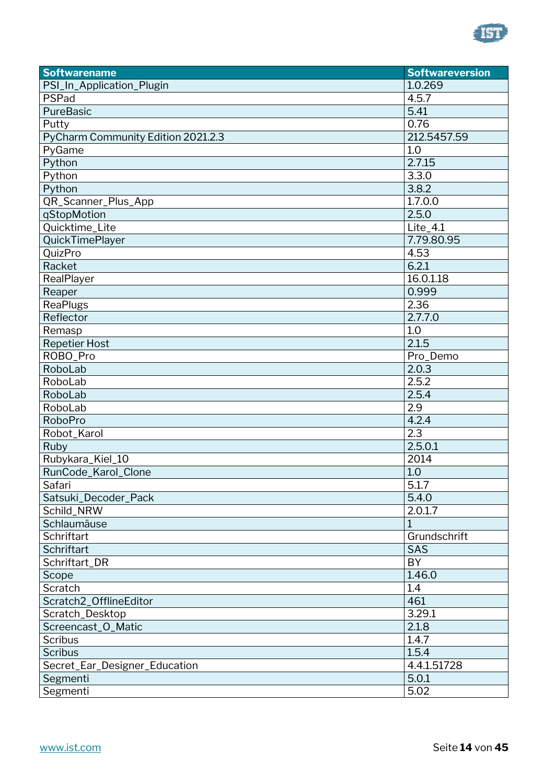

| <b>Softwarename</b>                | <b>Softwareversion</b> |
|------------------------------------|------------------------|
| PSI_In_Application_Plugin          | 1.0.269                |
| PSPad                              | 4.5.7                  |
| PureBasic                          | 5.41                   |
| Putty                              | 0.76                   |
| PyCharm Community Edition 2021.2.3 | 212.5457.59            |
| PyGame                             | 1.0                    |
| Python                             | 2.7.15                 |
| Python                             | 3.3.0                  |
| Python                             | 3.8.2                  |
| QR_Scanner_Plus_App                | 1.7.0.0                |
| qStopMotion                        | 2.5.0                  |
| Quicktime_Lite                     | Lite_4.1               |
| QuickTimePlayer                    | 7.79.80.95             |
| QuizPro                            | 4.53                   |
| Racket                             | 6.2.1                  |
| RealPlayer                         | 16.0.1.18              |
| Reaper                             | 0.999                  |
| <b>ReaPlugs</b>                    | 2.36                   |
| Reflector                          | 2.7.7.0                |
| Remasp                             | 1.0                    |
| <b>Repetier Host</b>               | 2.1.5                  |
| ROBO_Pro                           | Pro_Demo               |
| RoboLab                            | 2.0.3                  |
| RoboLab                            | 2.5.2                  |
| RoboLab                            | 2.5.4                  |
| RoboLab                            | 2.9                    |
| RoboPro                            | 4.2.4                  |
| Robot_Karol                        | 2.3                    |
| Ruby                               | 2.5.0.1                |
| Rubykara_Kiel_10                   | 2014                   |
| RunCode_Karol_Clone                | 1.0                    |
| Safari                             | 5.1.7                  |
| Satsuki_Decoder_Pack               | 5.4.0                  |
| Schild_NRW                         | 2.0.1.7                |
| Schlaumäuse                        | 1                      |
| <b>Schriftart</b>                  | Grundschrift           |
| Schriftart                         | <b>SAS</b>             |
| Schriftart_DR                      | BY                     |
| Scope                              | 1.46.0                 |
| Scratch                            | 1.4                    |
| Scratch2_OfflineEditor             | 461                    |
| Scratch_Desktop                    | 3.29.1                 |
| Screencast_O_Matic                 | 2.1.8                  |
| <b>Scribus</b>                     | 1.4.7                  |
| <b>Scribus</b>                     | 1.5.4                  |
| Secret_Ear_Designer_Education      | 4.4.1.51728            |
| Segmenti                           | 5.0.1                  |
| Segmenti                           | 5.02                   |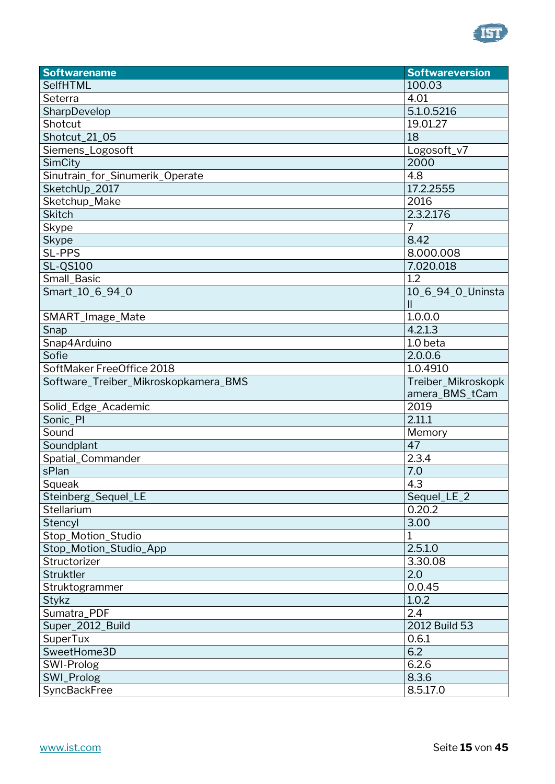

| <b>Softwarename</b>                  | <b>Softwareversion</b> |
|--------------------------------------|------------------------|
| SelfHTML                             | 100.03                 |
| Seterra                              | 4.01                   |
| SharpDevelop                         | 5.1.0.5216             |
| Shotcut                              | 19.01.27               |
| Shotcut_21_05                        | 18                     |
| Siemens_Logosoft                     | Logosoft_v7            |
| SimCity                              | 2000                   |
| Sinutrain_for_Sinumerik_Operate      | 4.8                    |
| SketchUp_2017                        | 17.2.2555              |
| Sketchup_Make                        | 2016                   |
| <b>Skitch</b>                        | 2.3.2.176              |
| Skype                                | $\overline{7}$         |
| Skype                                | 8.42                   |
| SL-PPS                               | 8.000.008              |
| <b>SL-QS100</b>                      | 7.020.018              |
| Small_Basic                          | 1.2                    |
| Smart_10_6_94_0                      | 10_6_94_0_Uninsta      |
|                                      | $\mathbf{II}$          |
| SMART_Image_Mate                     | 1.0.0.0                |
| Snap                                 | 4.2.1.3                |
| Snap4Arduino                         | 1.0 beta               |
| Sofie                                | 2.0.0.6                |
| SoftMaker FreeOffice 2018            | 1.0.4910               |
| Software_Treiber_Mikroskopkamera_BMS | Treiber_Mikroskopk     |
|                                      | amera_BMS_tCam         |
| Solid_Edge_Academic                  | 2019                   |
| Sonic_PI                             | 2.11.1                 |
| Sound                                | Memory                 |
| Soundplant                           | 47                     |
| Spatial_Commander                    | 2.3.4                  |
| sPlan                                | 7.0                    |
| Squeak                               | $\overline{4.3}$       |
| Steinberg_Sequel_LE                  | Sequel_LE_2            |
| Stellarium                           | 0.20.2                 |
| Stencyl                              | 3.00                   |
| Stop_Motion_Studio                   | 1                      |
| Stop_Motion_Studio_App               | 2.5.1.0                |
| Structorizer                         | 3.30.08                |
| Struktler                            | 2.0                    |
| Struktogrammer                       | 0.0.45                 |
| Stykz                                | 1.0.2                  |
| Sumatra_PDF                          | 2.4                    |
| Super_2012_Build                     | 2012 Build 53          |
| SuperTux                             | 0.6.1                  |
| SweetHome3D                          | 6.2                    |
| SWI-Prolog                           | 6.2.6                  |
| SWI_Prolog                           | 8.3.6                  |
| SyncBackFree                         | 8.5.17.0               |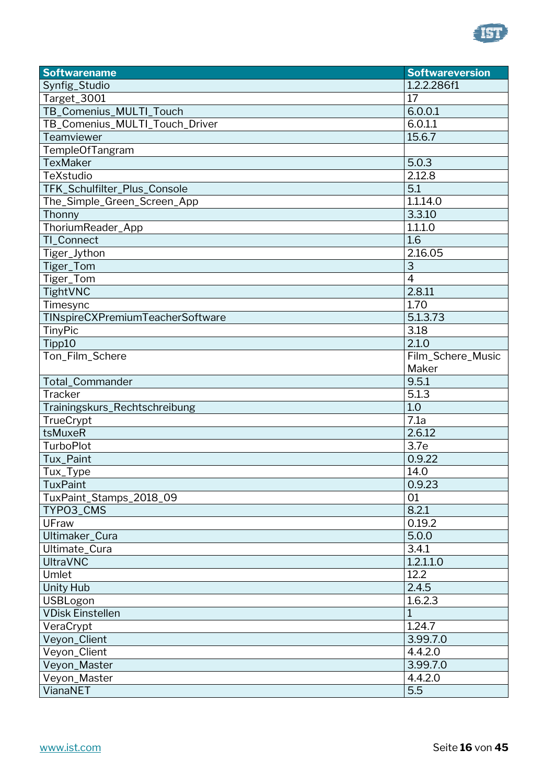

| <b>Softwarename</b>              | <b>Softwareversion</b> |
|----------------------------------|------------------------|
| Synfig_Studio                    | 1.2.2.286f1            |
| Target_3001                      | 17                     |
| TB_Comenius_MULTI_Touch          | 6.0.0.1                |
| TB_Comenius_MULTI_Touch_Driver   | 6.0.1.1                |
| Teamviewer                       | 15.6.7                 |
| <b>TempleOfTangram</b>           |                        |
| <b>TexMaker</b>                  | 5.0.3                  |
| TeXstudio                        | 2.12.8                 |
| TFK_Schulfilter_Plus_Console     | 5.1                    |
| The_Simple_Green_Screen_App      | 1.1.14.0               |
| Thonny                           | 3.3.10                 |
| ThoriumReader_App                | 1.1.1.0                |
| TI_Connect                       | 1.6                    |
| Tiger_Jython                     | 2.16.05                |
| Tiger_Tom                        | $\overline{3}$         |
| Tiger_Tom                        | $\overline{4}$         |
| TightVNC                         | 2.8.11                 |
| Timesync                         | 1.70                   |
| TINspireCXPremiumTeacherSoftware | 5.1.3.73               |
| TinyPic                          | 3.18                   |
| Tipp10                           | 2.1.0                  |
| Ton_Film_Schere                  | Film_Schere_Music      |
|                                  | Maker                  |
| Total_Commander                  | 9.5.1                  |
| Tracker                          | 5.1.3                  |
| Trainingskurs_Rechtschreibung    | 1.0                    |
| TrueCrypt                        | 7.1a                   |
| tsMuxeR                          | 2.6.12                 |
| <b>TurboPlot</b>                 | 3.7e                   |
| Tux_Paint                        | 0.9.22                 |
| Tux_Type                         | 14.0                   |
| TuxPaint                         | 0.9.23                 |
| TuxPaint_Stamps_2018_09          | 01                     |
| TYP03_CMS                        | 8.2.1                  |
| UFraw                            | 0.19.2                 |
| Ultimaker_Cura                   | 5.0.0                  |
| Ultimate_Cura                    | 3.4.1                  |
| <b>UltraVNC</b>                  | 1.2.1.1.0              |
| Umlet                            | 12.2                   |
| <b>Unity Hub</b>                 | 2.4.5                  |
| USBLogon                         | 1.6.2.3                |
| <b>VDisk Einstellen</b>          | 1                      |
| VeraCrypt                        | 1.24.7                 |
| Veyon_Client                     | 3.99.7.0               |
| Veyon_Client                     | 4.4.2.0                |
| Veyon_Master                     | 3.99.7.0               |
| Veyon_Master                     | 4.4.2.0                |
| VianaNET                         | 5.5                    |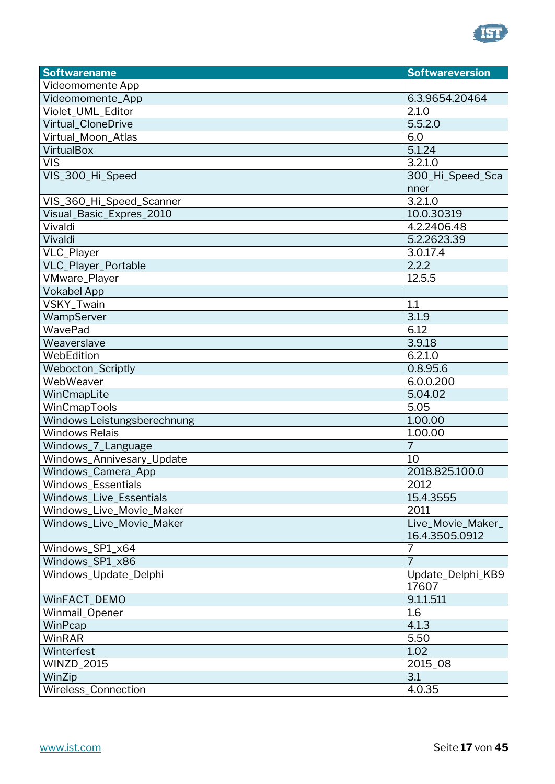

| <b>Softwarename</b>         | <b>Softwareversion</b> |
|-----------------------------|------------------------|
| Videomomente App            |                        |
| Videomomente_App            | 6.3.9654.20464         |
| Violet_UML_Editor           | 2.1.0                  |
| Virtual_CloneDrive          | 5.5.2.0                |
| Virtual_Moon_Atlas          | 6.0                    |
| VirtualBox                  | 5.1.24                 |
| <b>VIS</b>                  | 3.2.1.0                |
| VIS_300_Hi_Speed            | 300_Hi_Speed_Sca       |
|                             | nner                   |
| VIS_360_Hi_Speed_Scanner    | 3.2.1.0                |
| Visual_Basic_Expres_2010    | 10.0.30319             |
| Vivaldi                     | 4.2.2406.48            |
| Vivaldi                     | 5.2.2623.39            |
| VLC_Player                  | 3.0.17.4               |
| VLC_Player_Portable         | 2.2.2                  |
| VMware_Player               | 12.5.5                 |
| <b>Vokabel App</b>          |                        |
| VSKY_Twain                  | 1.1                    |
| WampServer                  | 3.1.9                  |
| WavePad                     | 6.12                   |
| Weaverslave                 | 3.9.18                 |
| WebEdition                  | 6.2.1.0                |
| <b>Webocton_Scriptly</b>    | 0.8.95.6               |
| WebWeaver                   | 6.0.0.200              |
| WinCmapLite                 | 5.04.02                |
| WinCmapTools                | 5.05                   |
| Windows Leistungsberechnung | 1.00.00                |
| <b>Windows Relais</b>       | 1.00.00                |
| Windows_7_Language          | $\overline{7}$         |
| Windows_Annivesary_Update   | 10                     |
| Windows_Camera_App          | 2018.825.100.0         |
| Windows_Essentials          | 2012                   |
| Windows_Live_Essentials     | 15.4.3555              |
| Windows_Live_Movie_Maker    | 2011                   |
| Windows_Live_Movie_Maker    | Live_Movie_Maker_      |
|                             | 16.4.3505.0912         |
| Windows_SP1_x64             | 7                      |
| Windows_SP1_x86             | 7                      |
| Windows_Update_Delphi       | Update_Delphi_KB9      |
|                             | 17607                  |
| WinFACT_DEMO                | 9.1.1.511              |
| Winmail_Opener              | 1.6                    |
| WinPcap                     | 4.1.3                  |
| WinRAR                      | 5.50                   |
| Winterfest                  | 1.02                   |
| <b>WINZD_2015</b>           | 2015_08                |
| WinZip                      | 3.1                    |
| Wireless_Connection         | 4.0.35                 |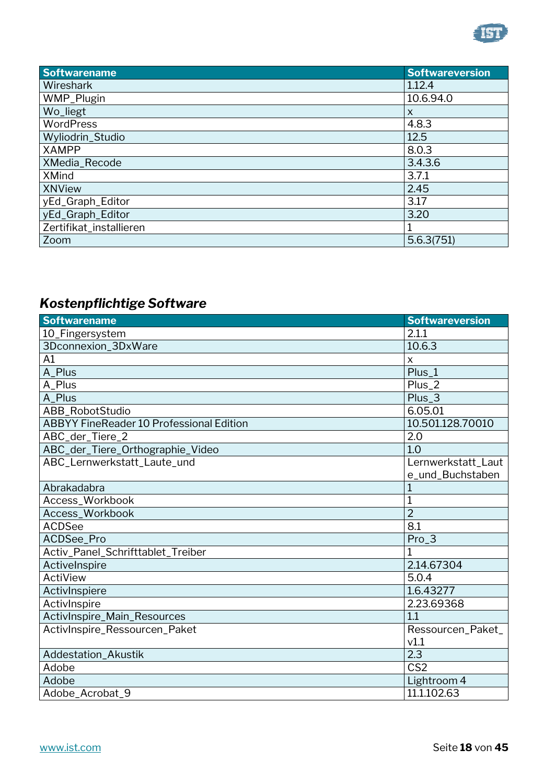

| <b>Softwarename</b>     | <b>Softwareversion</b> |
|-------------------------|------------------------|
| Wireshark               | 1.12.4                 |
| WMP_Plugin              | 10.6.94.0              |
| Wo_liegt                | X                      |
| <b>WordPress</b>        | 4.8.3                  |
| Wyliodrin_Studio        | 12.5                   |
| <b>XAMPP</b>            | 8.0.3                  |
| XMedia_Recode           | 3.4.3.6                |
| <b>XMind</b>            | 3.7.1                  |
| <b>XNView</b>           | 2.45                   |
| yEd_Graph_Editor        | 3.17                   |
| yEd_Graph_Editor        | 3.20                   |
| Zertifikat_installieren |                        |
| Zoom                    | 5.6.3(751)             |

## <span id="page-17-0"></span>*Kostenpflichtige Software*

| <b>Softwarename</b>                             | <b>Softwareversion</b>    |
|-------------------------------------------------|---------------------------|
| 10_Fingersystem                                 | 2.1.1                     |
| 3Dconnexion_3DxWare                             | 10.6.3                    |
| A1                                              | $\boldsymbol{\mathsf{x}}$ |
| A_Plus                                          | Plus_1                    |
| A_Plus                                          | Plus_2                    |
| A_Plus                                          | Plus_3                    |
| <b>ABB RobotStudio</b>                          | 6.05.01                   |
| <b>ABBYY FineReader 10 Professional Edition</b> | 10.501.128.70010          |
| ABC_der_Tiere_2                                 | 2.0                       |
| ABC_der_Tiere_Orthographie_Video                | 1.0                       |
| ABC_Lernwerkstatt_Laute_und                     | Lernwerkstatt_Laut        |
|                                                 | e_und_Buchstaben          |
| Abrakadabra                                     |                           |
| Access_Workbook                                 |                           |
| Access_Workbook                                 | $\overline{2}$            |
| <b>ACDSee</b>                                   | 8.1                       |
| ACDSee_Pro                                      | $Pro_3$                   |
| Activ_Panel_Schrifttablet_Treiber               | 1                         |
| ActiveInspire                                   | 2.14.67304                |
| ActiView                                        | 5.0.4                     |
| ActivInspiere                                   | 1.6.43277                 |
| ActivInspire                                    | 2.23.69368                |
| ActivInspire_Main_Resources                     | 1.1                       |
| ActivInspire_Ressourcen_Paket                   | Ressourcen_Paket_         |
|                                                 | v1.1                      |
| Addestation_Akustik                             | 2.3                       |
| Adobe                                           | CS <sub>2</sub>           |
| Adobe                                           | Lightroom 4               |
| Adobe_Acrobat_9                                 | 11.1.102.63               |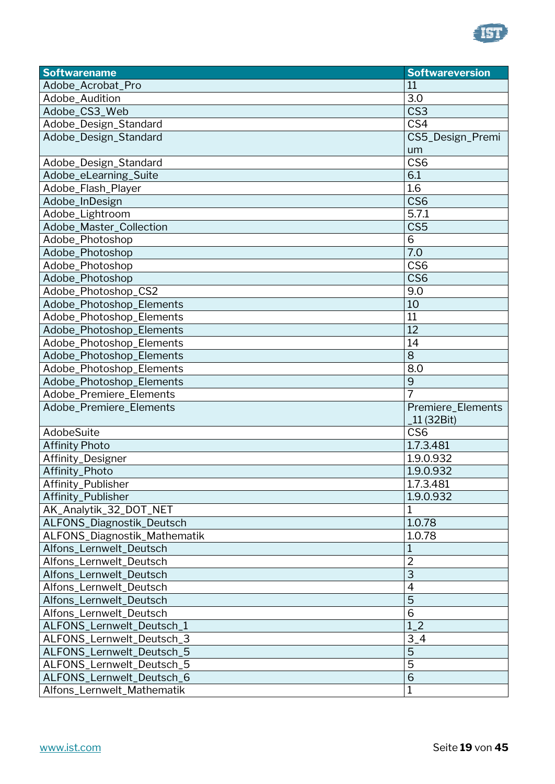

| <b>Softwarename</b>          | <b>Softwareversion</b> |
|------------------------------|------------------------|
| Adobe_Acrobat_Pro            | 11                     |
| Adobe_Audition               | 3.0                    |
| Adobe_CS3_Web                | CS <sub>3</sub>        |
| Adobe_Design_Standard        | CS4                    |
| Adobe_Design_Standard        | CS5_Design_Premi       |
|                              | um                     |
| Adobe_Design_Standard        | CS <sub>6</sub>        |
| Adobe_eLearning_Suite        | 6.1                    |
| Adobe_Flash_Player           | 1.6                    |
| Adobe_InDesign               | CS <sub>6</sub>        |
| Adobe_Lightroom              | 5.7.1                  |
| Adobe_Master_Collection      | CS5                    |
| Adobe_Photoshop              | 6                      |
| Adobe_Photoshop              | 7.0                    |
| Adobe_Photoshop              | CS <sub>6</sub>        |
| Adobe_Photoshop              | CS <sub>6</sub>        |
| Adobe_Photoshop_CS2          | 9.0                    |
| Adobe_Photoshop_Elements     | 10                     |
| Adobe_Photoshop_Elements     | 11                     |
| Adobe_Photoshop_Elements     | 12                     |
| Adobe_Photoshop_Elements     | 14                     |
| Adobe_Photoshop_Elements     | 8                      |
| Adobe_Photoshop_Elements     | 8.0                    |
| Adobe_Photoshop_Elements     | 9                      |
| Adobe_Premiere_Elements      | $\overline{7}$         |
| Adobe_Premiere_Elements      | Premiere_Elements      |
|                              | 11 (32Bit)             |
| AdobeSuite                   | CS <sub>6</sub>        |
| <b>Affinity Photo</b>        | 1.7.3.481              |
| Affinity_Designer            | 1.9.0.932              |
| Affinity_Photo               | 1.9.0.932              |
| Affinity_Publisher           | 1.7.3.481              |
| Affinity_Publisher           | 1.9.0.932              |
| AK_Analytik_32_DOT_NET       | 1                      |
| ALFONS_Diagnostik_Deutsch    | 1.0.78                 |
| ALFONS_Diagnostik_Mathematik | 1.0.78                 |
| Alfons Lernwelt Deutsch      |                        |
| Alfons_Lernwelt_Deutsch      | $\overline{2}$         |
| Alfons_Lernwelt_Deutsch      | 3                      |
| Alfons_Lernwelt_Deutsch      | $\overline{4}$         |
| Alfons_Lernwelt_Deutsch      | $\overline{5}$         |
| Alfons_Lernwelt_Deutsch      | $\overline{6}$         |
| ALFONS_Lernwelt_Deutsch_1    | $1_{-}2$               |
| ALFONS_Lernwelt_Deutsch_3    | $3-4$                  |
| ALFONS_Lernwelt_Deutsch_5    | 5                      |
| ALFONS_Lernwelt_Deutsch_5    | $\overline{5}$         |
| ALFONS_Lernwelt_Deutsch_6    | 6                      |
| Alfons_Lernwelt_Mathematik   | 1                      |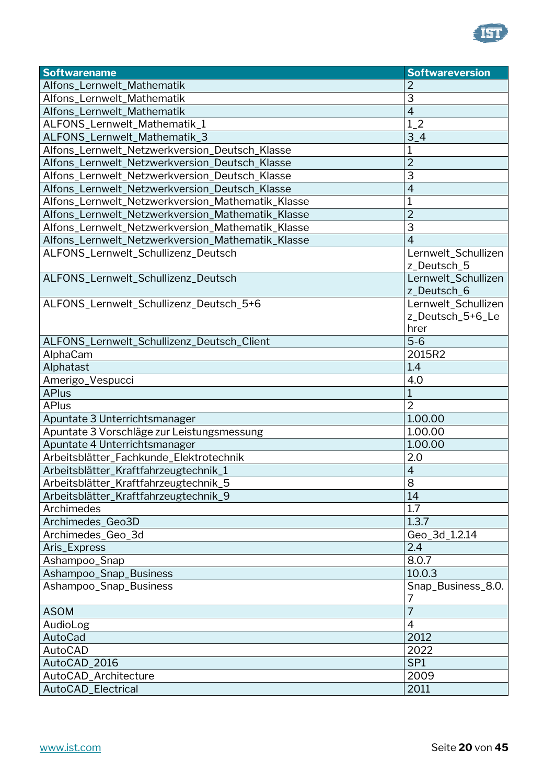

| <b>Softwarename</b>                               | <b>Softwareversion</b>                          |
|---------------------------------------------------|-------------------------------------------------|
| Alfons_Lernwelt_Mathematik                        |                                                 |
| Alfons_Lernwelt_Mathematik                        | 3                                               |
| Alfons_Lernwelt_Mathematik                        | $\overline{4}$                                  |
| ALFONS_Lernwelt_Mathematik_1                      | $1_{-}2$                                        |
| ALFONS_Lernwelt_Mathematik_3                      | $3-4$                                           |
| Alfons_Lernwelt_Netzwerkversion_Deutsch_Klasse    | 1                                               |
| Alfons_Lernwelt_Netzwerkversion_Deutsch_Klasse    | $\overline{2}$                                  |
| Alfons_Lernwelt_Netzwerkversion_Deutsch_Klasse    | 3                                               |
| Alfons_Lernwelt_Netzwerkversion_Deutsch_Klasse    | $\overline{4}$                                  |
| Alfons_Lernwelt_Netzwerkversion_Mathematik_Klasse | 1                                               |
| Alfons_Lernwelt_Netzwerkversion_Mathematik_Klasse | $\overline{2}$                                  |
| Alfons_Lernwelt_Netzwerkversion_Mathematik_Klasse | 3                                               |
| Alfons_Lernwelt_Netzwerkversion_Mathematik_Klasse | 4                                               |
| ALFONS_Lernwelt_Schullizenz_Deutsch               | Lernwelt_Schullizen<br>z_Deutsch_5              |
| ALFONS_Lernwelt_Schullizenz_Deutsch               | Lernwelt_Schullizen<br>z_Deutsch_6              |
| ALFONS_Lernwelt_Schullizenz_Deutsch_5+6           | Lernwelt_Schullizen<br>z_Deutsch_5+6_Le<br>hrer |
| ALFONS_Lernwelt_Schullizenz_Deutsch_Client        | $5-6$                                           |
| AlphaCam                                          | 2015R2                                          |
| Alphatast                                         | 1.4                                             |
| Amerigo_Vespucci                                  | 4.0                                             |
| <b>APlus</b>                                      | 1                                               |
| <b>APlus</b>                                      | $\overline{2}$                                  |
| Apuntate 3 Unterrichtsmanager                     | 1.00.00                                         |
| Apuntate 3 Vorschläge zur Leistungsmessung        | 1.00.00                                         |
| Apuntate 4 Unterrichtsmanager                     | 1.00.00                                         |
| Arbeitsblätter_Fachkunde_Elektrotechnik           | 2.0                                             |
| Arbeitsblätter_Kraftfahrzeugtechnik_1             | $\overline{4}$                                  |
| Arbeitsblätter_Kraftfahrzeugtechnik_5             | 8                                               |
| Arbeitsblätter_Kraftfahrzeugtechnik_9             | 14                                              |
| Archimedes                                        | 1.7                                             |
| Archimedes_Geo3D                                  | 1.3.7                                           |
| Archimedes_Geo_3d                                 | Geo_3d_1.2.14                                   |
| Aris_Express                                      | 2.4                                             |
| Ashampoo_Snap                                     | 8.0.7                                           |
| Ashampoo_Snap_Business                            | 10.0.3                                          |
| Ashampoo_Snap_Business                            | Snap_Business_8.0.<br>7                         |
| <b>ASOM</b>                                       | $\overline{7}$                                  |
| AudioLog                                          | $\overline{4}$                                  |
| AutoCad                                           | 2012                                            |
| AutoCAD                                           | 2022                                            |
| AutoCAD_2016                                      | SP <sub>1</sub>                                 |
| AutoCAD_Architecture                              | 2009                                            |
| AutoCAD_Electrical                                | 2011                                            |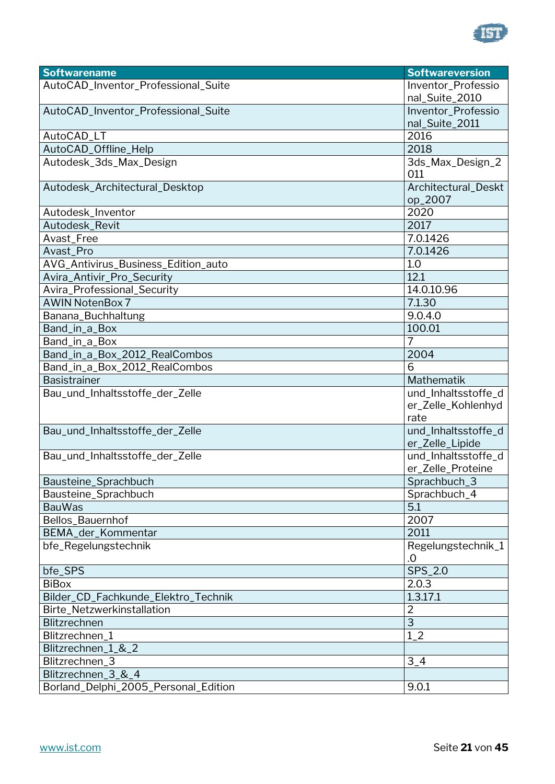

| <b>Softwarename</b>                  | <b>Softwareversion</b> |
|--------------------------------------|------------------------|
| AutoCAD_Inventor_Professional_Suite  | Inventor_Professio     |
|                                      | nal_Suite_2010         |
| AutoCAD_Inventor_Professional_Suite  | Inventor_Professio     |
|                                      | nal_Suite_2011         |
| AutoCAD_LT                           | 2016                   |
| AutoCAD_Offline_Help                 | 2018                   |
| Autodesk_3ds_Max_Design              | 3ds_Max_Design_2       |
|                                      | 011                    |
| Autodesk_Architectural_Desktop       | Architectural_Deskt    |
|                                      | op_2007                |
| Autodesk_Inventor                    | 2020                   |
| Autodesk_Revit                       | 2017                   |
| Avast_Free                           | 7.0.1426               |
| Avast_Pro                            | 7.0.1426               |
| AVG_Antivirus_Business_Edition_auto  | 1.0                    |
| Avira_Antivir_Pro_Security           | 12.1                   |
| Avira_Professional_Security          | 14.0.10.96             |
| <b>AWIN NotenBox 7</b>               | 7.1.30                 |
| Banana_Buchhaltung                   | 9.0.4.0                |
| Band_in_a_Box                        | 100.01                 |
| Band_in_a_Box                        | 7                      |
| Band_in_a_Box_2012_RealCombos        | 2004                   |
| Band_in_a_Box_2012_RealCombos        | 6                      |
| <b>Basistrainer</b>                  | Mathematik             |
| Bau_und_Inhaltsstoffe_der_Zelle      | und_Inhaltsstoffe_d    |
|                                      | er_Zelle_Kohlenhyd     |
|                                      | rate                   |
| Bau_und_Inhaltsstoffe_der_Zelle      | und_Inhaltsstoffe_d    |
|                                      | er_Zelle_Lipide        |
| Bau_und_Inhaltsstoffe_der_Zelle      | und_Inhaltsstoffe_d    |
|                                      | er_Zelle_Proteine      |
| Bausteine_Sprachbuch                 | Sprachbuch_3           |
| Bausteine_Sprachbuch                 | Sprachbuch_4           |
| <b>BauWas</b>                        | 5.1                    |
| Bellos_Bauernhof                     | 2007                   |
| BEMA_der_Kommentar                   | 2011                   |
| bfe_Regelungstechnik                 | Regelungstechnik_1     |
|                                      | .0                     |
| bfe_SPS                              | SPS_2.0                |
| <b>BiBox</b>                         | 2.0.3                  |
| Bilder_CD_Fachkunde_Elektro_Technik  | 1.3.17.1               |
| Birte_Netzwerkinstallation           | $\overline{2}$         |
| <b>Blitzrechnen</b>                  | $\overline{3}$         |
| Blitzrechnen_1                       | $1_{-2}$               |
| Blitzrechnen_1_&_2                   |                        |
| Blitzrechnen_3                       | $3_{-}4$               |
| Blitzrechnen_3_&_4                   |                        |
| Borland_Delphi_2005_Personal_Edition | 9.0.1                  |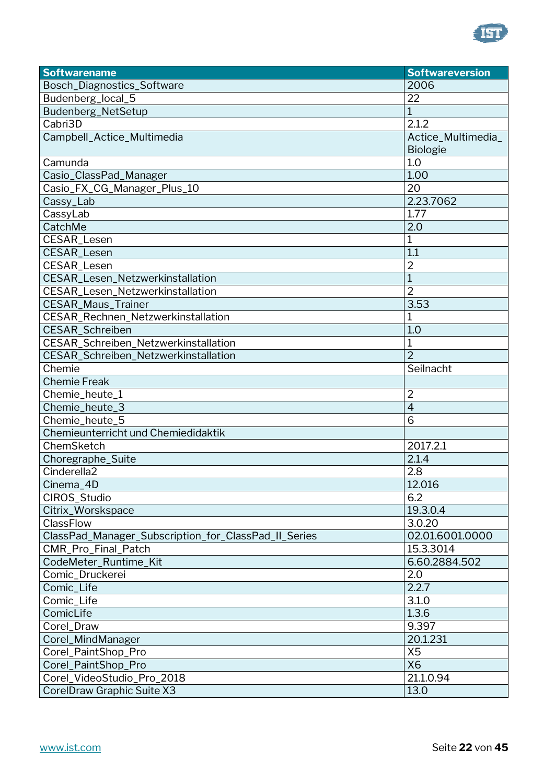

| <b>Softwarename</b>                                  | <b>Softwareversion</b> |
|------------------------------------------------------|------------------------|
| Bosch_Diagnostics_Software                           | 2006                   |
| Budenberg_local_5                                    | 22                     |
| Budenberg_NetSetup                                   | $\mathbf{1}$           |
| Cabri3D                                              | 2.1.2                  |
| Campbell_Actice_Multimedia                           | Actice_Multimedia_     |
|                                                      | <b>Biologie</b>        |
| Camunda                                              | 1.0                    |
| Casio_ClassPad_Manager                               | 1.00                   |
| Casio_FX_CG_Manager_Plus_10                          | 20                     |
| Cassy_Lab                                            | 2.23.7062              |
| CassyLab                                             | 1.77                   |
| CatchMe                                              | 2.0                    |
| <b>CESAR_Lesen</b>                                   | $\mathbf 1$            |
| CESAR_Lesen                                          | 1.1                    |
| CESAR_Lesen                                          | $\overline{2}$         |
| CESAR_Lesen_Netzwerkinstallation                     | $\mathbf{1}$           |
| CESAR_Lesen_Netzwerkinstallation                     | $\overline{2}$         |
| <b>CESAR_Maus_Trainer</b>                            | 3.53                   |
| CESAR_Rechnen_Netzwerkinstallation                   | $\mathbf{1}$           |
| <b>CESAR Schreiben</b>                               | 1.0                    |
| CESAR_Schreiben_Netzwerkinstallation                 | 1                      |
| CESAR_Schreiben_Netzwerkinstallation                 | $\overline{2}$         |
| Chemie                                               | Seilnacht              |
| <b>Chemie Freak</b>                                  |                        |
| Chemie_heute_1                                       | $\overline{2}$         |
| Chemie_heute_3                                       | $\overline{4}$         |
| Chemie_heute_5                                       | 6                      |
| Chemieunterricht und Chemiedidaktik                  |                        |
| ChemSketch                                           | 2017.2.1               |
| Choregraphe_Suite                                    | 2.1.4                  |
| Cinderella <sub>2</sub>                              | 2.8                    |
| Cinema_4D                                            | 12.016                 |
| CIROS_Studio                                         | 6.2                    |
| Citrix_Worskspace                                    | 19.3.0.4               |
| ClassFlow                                            | 3.0.20                 |
| ClassPad_Manager_Subscription_for_ClassPad_II_Series | 02.01.6001.0000        |
| CMR_Pro_Final_Patch                                  | 15.3.3014              |
| CodeMeter_Runtime_Kit                                | 6.60.2884.502          |
| Comic_Druckerei                                      | 2.0                    |
| Comic_Life                                           | 2.2.7                  |
| Comic_Life                                           | 3.1.0                  |
| ComicLife                                            | 1.3.6                  |
| Corel_Draw                                           | 9.397                  |
| Corel_MindManager                                    | 20.1.231               |
| Corel_PaintShop_Pro                                  | X <sub>5</sub>         |
| Corel_PaintShop_Pro                                  | <b>X6</b>              |
| Corel_VideoStudio_Pro_2018                           | 21.1.0.94              |
| CorelDraw Graphic Suite X3                           | 13.0                   |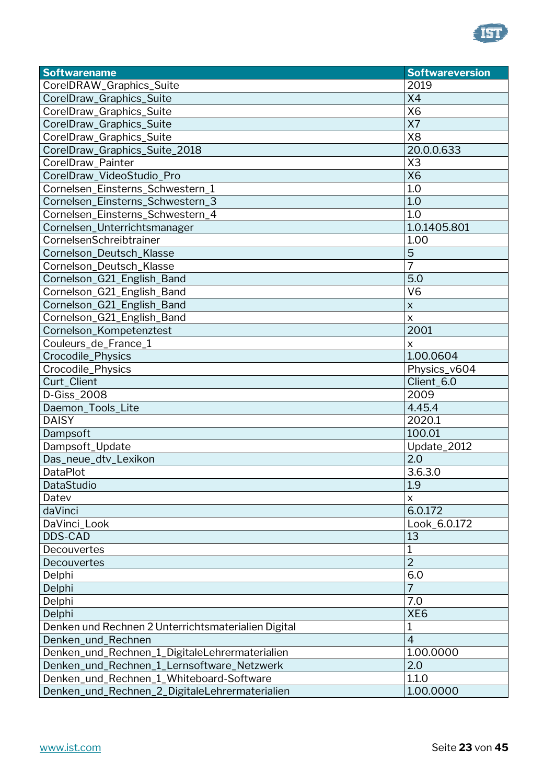

| <b>Softwarename</b>                                 | <b>Softwareversion</b> |
|-----------------------------------------------------|------------------------|
| CorelDRAW_Graphics_Suite                            | 2019                   |
| CorelDraw_Graphics_Suite                            | X4                     |
| CorelDraw_Graphics_Suite                            | <b>X6</b>              |
| CorelDraw_Graphics_Suite                            | X7                     |
| CorelDraw_Graphics_Suite                            | <b>X8</b>              |
| CorelDraw_Graphics_Suite_2018                       | 20.0.0.633             |
| CorelDraw Painter                                   | X <sub>3</sub>         |
| CorelDraw_VideoStudio_Pro                           | <b>X6</b>              |
| Cornelsen_Einsterns_Schwestern_1                    | 1.0                    |
| Cornelsen_Einsterns_Schwestern_3                    | 1.0                    |
| Cornelsen_Einsterns_Schwestern_4                    | 1.0                    |
| Cornelsen_Unterrichtsmanager                        | 1.0.1405.801           |
| CornelsenSchreibtrainer                             | 1.00                   |
| Cornelson_Deutsch_Klasse                            | 5                      |
| Cornelson_Deutsch_Klasse                            | 7                      |
| Cornelson_G21_English_Band                          | 5.0                    |
| Cornelson_G21_English_Band                          | V <sub>6</sub>         |
| Cornelson_G21_English_Band                          | $\pmb{\times}$         |
| Cornelson_G21_English_Band                          | X                      |
| Cornelson_Kompetenztest                             | 2001                   |
| Couleurs_de_France_1                                | X                      |
| Crocodile_Physics                                   | 1.00.0604              |
| Crocodile_Physics                                   | Physics_v604           |
| Curt_Client                                         | Client_6.0             |
| D-Giss_2008                                         | 2009                   |
| Daemon_Tools_Lite                                   | 4.45.4                 |
| <b>DAISY</b>                                        | 2020.1                 |
| Dampsoft                                            | 100.01                 |
| Dampsoft_Update                                     | Update_2012            |
| Das_neue_dtv_Lexikon                                | 2.0                    |
| <b>DataPlot</b>                                     | 3.6.3.0                |
| DataStudio                                          | 1.9                    |
| Datev                                               | X                      |
| daVinci                                             | 6.0.172                |
| DaVinci_Look                                        | Look_6.0.172           |
| <b>DDS-CAD</b>                                      | 13                     |
| Decouvertes                                         | 1                      |
| Decouvertes                                         | $\overline{2}$         |
| Delphi                                              | 6.0                    |
| Delphi                                              | $\overline{7}$         |
| Delphi                                              | 7.0                    |
| Delphi                                              | XE <sub>6</sub>        |
| Denken und Rechnen 2 Unterrichtsmaterialien Digital | 1                      |
| Denken_und_Rechnen                                  | $\overline{4}$         |
| Denken_und_Rechnen_1_DigitaleLehrermaterialien      | 1.00.0000              |
| Denken_und_Rechnen_1_Lernsoftware_Netzwerk          | 2.0                    |
| Denken_und_Rechnen_1_Whiteboard-Software            | 1.1.0                  |
| Denken_und_Rechnen_2_DigitaleLehrermaterialien      | 1.00.0000              |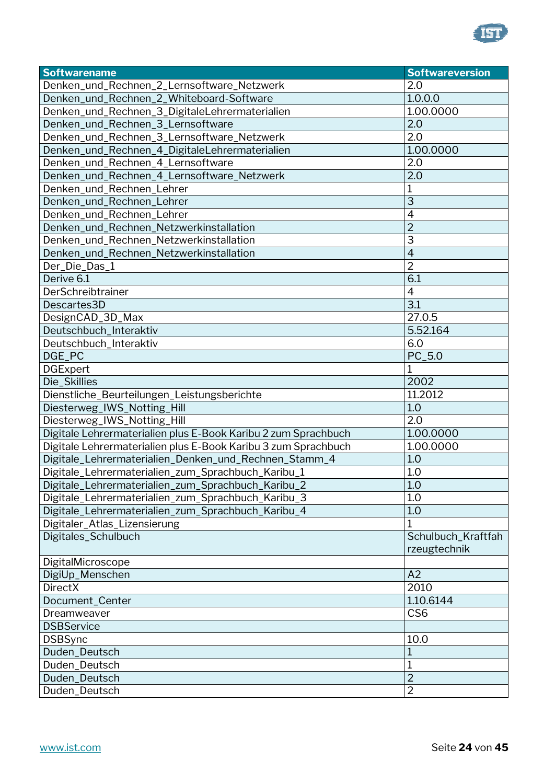

| <b>Softwarename</b>                                            | <b>Softwareversion</b> |
|----------------------------------------------------------------|------------------------|
| Denken_und_Rechnen_2_Lernsoftware_Netzwerk                     | 2.0                    |
| Denken_und_Rechnen_2_Whiteboard-Software                       | 1.0.0.0                |
| Denken_und_Rechnen_3_DigitaleLehrermaterialien                 | 1.00.0000              |
| Denken_und_Rechnen_3_Lernsoftware                              | 2.0                    |
| Denken_und_Rechnen_3_Lernsoftware_Netzwerk                     | 2.0                    |
| Denken_und_Rechnen_4_DigitaleLehrermaterialien                 | 1.00.0000              |
| Denken_und_Rechnen_4_Lernsoftware                              | 2.0                    |
| Denken_und_Rechnen_4_Lernsoftware_Netzwerk                     | 2.0                    |
| Denken_und_Rechnen_Lehrer                                      | 1                      |
| Denken_und_Rechnen_Lehrer                                      | $\overline{3}$         |
| Denken_und_Rechnen_Lehrer                                      | $\overline{4}$         |
| Denken_und_Rechnen_Netzwerkinstallation                        | $\overline{2}$         |
| Denken_und_Rechnen_Netzwerkinstallation                        | 3                      |
| Denken_und_Rechnen_Netzwerkinstallation                        | $\overline{4}$         |
| Der_Die_Das_1                                                  | $\overline{2}$         |
| Derive 6.1                                                     | 6.1                    |
| DerSchreibtrainer                                              | $\overline{4}$         |
| Descartes3D                                                    | 3.1                    |
| DesignCAD_3D_Max                                               | 27.0.5                 |
| Deutschbuch_Interaktiv                                         | 5.52.164               |
| Deutschbuch_Interaktiv                                         | 6.0                    |
| DGE_PC                                                         | PC_5.0                 |
| <b>DGExpert</b>                                                | $\mathbf{1}$           |
| Die_Skillies                                                   | 2002                   |
| Dienstliche_Beurteilungen_Leistungsberichte                    | 11.2012                |
| Diesterweg_IWS_Notting_Hill                                    | 1.0                    |
| Diesterweg_IWS_Notting_Hill                                    | 2.0                    |
| Digitale Lehrermaterialien plus E-Book Karibu 2 zum Sprachbuch | 1.00.0000              |
| Digitale Lehrermaterialien plus E-Book Karibu 3 zum Sprachbuch | 1.00.0000              |
| Digitale_Lehrermaterialien_Denken_und_Rechnen_Stamm_4          | 1.0                    |
| Digitale_Lehrermaterialien_zum_Sprachbuch_Karibu_1             | 1.0                    |
| Digitale_Lehrermaterialien_zum_Sprachbuch_Karibu_2             | 1.0                    |
| Digitale_Lehrermaterialien_zum_Sprachbuch_Karibu_3             | 1.0                    |
| Digitale_Lehrermaterialien_zum_Sprachbuch_Karibu_4             | 1.0                    |
| Digitaler_Atlas_Lizensierung                                   | 1                      |
| Digitales_Schulbuch                                            | Schulbuch_Kraftfah     |
|                                                                | rzeugtechnik           |
| DigitalMicroscope                                              |                        |
| DigiUp_Menschen                                                | A2                     |
| <b>DirectX</b>                                                 | 2010                   |
| Document_Center                                                | 1.10.6144              |
| Dreamweaver                                                    | CS <sub>6</sub>        |
| <b>DSBService</b>                                              |                        |
| <b>DSBSync</b>                                                 | 10.0                   |
| Duden_Deutsch                                                  | $\mathbf{1}$           |
| Duden_Deutsch                                                  | 1                      |
| Duden_Deutsch                                                  | $\overline{2}$         |
| Duden_Deutsch                                                  | $\overline{2}$         |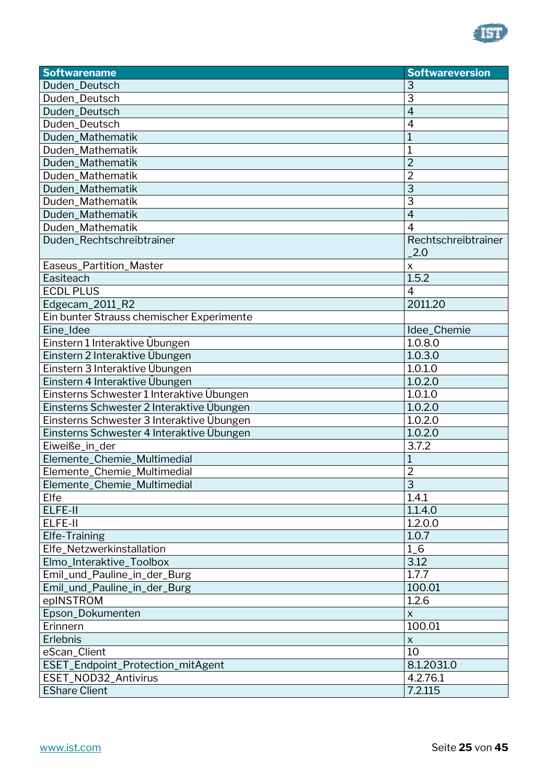

| <b>Softwarename</b>                       | <b>Softwareversion</b>     |
|-------------------------------------------|----------------------------|
| Duden_Deutsch                             | З                          |
| Duden_Deutsch                             | 3                          |
| Duden_Deutsch                             | $\overline{4}$             |
| Duden_Deutsch                             | 4                          |
| Duden_Mathematik                          | 1                          |
| Duden_Mathematik                          | 1                          |
| Duden_Mathematik                          | $\overline{2}$             |
| Duden_Mathematik                          | $\overline{2}$             |
| Duden Mathematik                          | 3                          |
| Duden_Mathematik                          | 3                          |
| Duden_Mathematik                          | $\overline{4}$             |
| Duden_Mathematik                          | 4                          |
| Duden_Rechtschreibtrainer                 | Rechtschreibtrainer<br>2.0 |
| Easeus_Partition_Master                   | $\boldsymbol{\mathsf{X}}$  |
| Easiteach                                 | 1.5.2                      |
| <b>ECDL PLUS</b>                          | $\overline{4}$             |
| Edgecam_2011_R2                           | 2011.20                    |
| Ein bunter Strauss chemischer Experimente |                            |
| Eine_Idee                                 | Idee_Chemie                |
| Einstern 1 Interaktive Übungen            | $\overline{1.0.8.0}$       |
| Einstern 2 Interaktive Übungen            | 1.0.3.0                    |
| Einstern 3 Interaktive Übungen            | 1.0.1.0                    |
| Einstern 4 Interaktive Übungen            | 1.0.2.0                    |
| Einsterns Schwester 1 Interaktive Übungen | 1.0.1.0                    |
| Einsterns Schwester 2 Interaktive Übungen | 1.0.2.0                    |
| Einsterns Schwester 3 Interaktive Übungen | 1.0.2.0                    |
| Einsterns Schwester 4 Interaktive Übungen | 1.0.2.0                    |
| Eiweiße_in_der                            | 3.7.2                      |
| Elemente_Chemie_Multimedial               | 1                          |
| Elemente_Chemie_Multimedial               | 2                          |
| Elemente_Chemie_Multimedial               | $\overline{3}$             |
| Elfe                                      | 1.4.1                      |
| ELFE-II                                   | 1.1.4.0                    |
| ELFE-II                                   | 1.2.0.0                    |
| Elfe-Training                             | 1.0.7                      |
| Elfe_Netzwerkinstallation                 | $1_{-}6$                   |
| Elmo_Interaktive_Toolbox                  | 3.12                       |
| Emil_und_Pauline_in_der_Burg              | 1.7.7                      |
| Emil_und_Pauline_in_der_Burg              | 100.01                     |
| epINSTROM                                 | 1.2.6                      |
| Epson_Dokumenten                          | X                          |
| Erinnern                                  | 100.01                     |
| Erlebnis                                  | $\boldsymbol{\mathsf{X}}$  |
| eScan_Client                              | 10                         |
| ESET_Endpoint_Protection_mitAgent         | 8.1.2031.0                 |
| ESET_NOD32_Antivirus                      | 4.2.76.1                   |
| <b>EShare Client</b>                      | 7.2.115                    |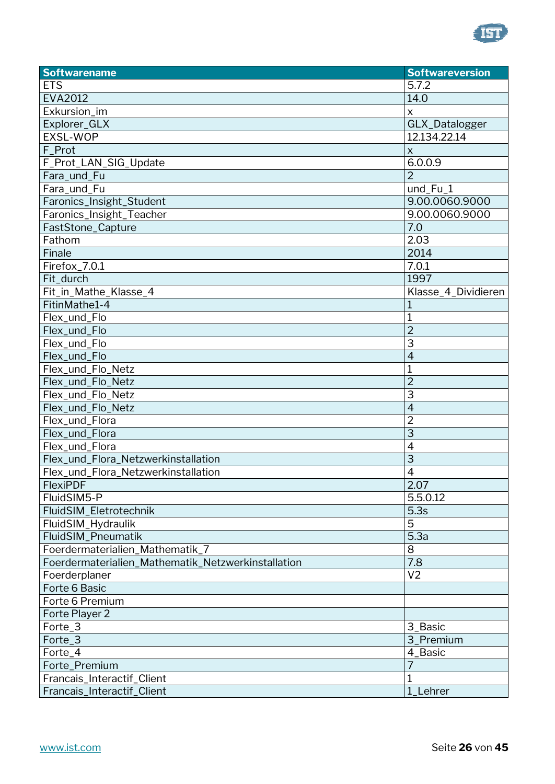

| <b>Softwarename</b>                                | <b>Softwareversion</b>    |
|----------------------------------------------------|---------------------------|
| <b>ETS</b>                                         | 5.7.2                     |
| <b>EVA2012</b>                                     | 14.0                      |
| Exkursion_im                                       | $\boldsymbol{\mathsf{X}}$ |
| Explorer_GLX                                       | GLX_Datalogger            |
| <b>EXSL-WOP</b>                                    | 12.134.22.14              |
| F_Prot                                             | X                         |
| F_Prot_LAN_SIG_Update                              | 6.0.0.9                   |
| Fara_und_Fu                                        | $\overline{2}$            |
| Fara_und_Fu                                        | und_Fu_1                  |
| Faronics_Insight_Student                           | 9.00.0060.9000            |
| Faronics_Insight_Teacher                           | 9.00.0060.9000            |
| FastStone_Capture                                  | 7.0                       |
| Fathom                                             | 2.03                      |
| Finale                                             | 2014                      |
| Firefox_7.0.1                                      | 7.0.1                     |
| Fit_durch                                          | 1997                      |
| Fit_in_Mathe_Klasse_4                              | Klasse_4_Dividieren       |
| FitinMathe1-4                                      | $\mathbf{1}$              |
| Flex_und_Flo                                       | 1                         |
| Flex_und_Flo                                       | $\overline{2}$            |
| Flex_und_Flo                                       | 3                         |
| Flex_und_Flo                                       | $\overline{4}$            |
| Flex_und_Flo_Netz                                  | 1                         |
| Flex_und_Flo_Netz                                  | $\overline{2}$            |
| Flex_und_Flo_Netz                                  | 3                         |
| Flex_und_Flo_Netz                                  | $\overline{4}$            |
| Flex_und_Flora                                     | $\overline{2}$            |
| Flex_und_Flora                                     | 3                         |
| Flex_und_Flora                                     | $\overline{4}$            |
| Flex_und_Flora_Netzwerkinstallation                | 3                         |
| Flex_und_Flora_Netzwerkinstallation                | $\overline{4}$            |
| <b>FlexiPDF</b>                                    | 2.07                      |
| FluidSIM5-P                                        | 5.5.0.12                  |
| FluidSIM_Eletrotechnik                             | 5.3s                      |
| FluidSIM_Hydraulik                                 | 5                         |
| <b>FluidSIM Pneumatik</b>                          | 5.3a                      |
| Foerdermaterialien_Mathematik_7                    | 8                         |
| Foerdermaterialien_Mathematik_Netzwerkinstallation | 7.8                       |
| Foerderplaner                                      | V <sub>2</sub>            |
| Forte 6 Basic                                      |                           |
| Forte 6 Premium                                    |                           |
| Forte Player 2                                     |                           |
| Forte_3                                            | 3_Basic                   |
| Forte_3                                            | 3_Premium                 |
| Forte_4                                            | 4_Basic                   |
| Forte_Premium                                      | 7                         |
| Francais_Interactif_Client                         | $\mathbf{1}$              |
| Francais_Interactif_Client                         | 1_Lehrer                  |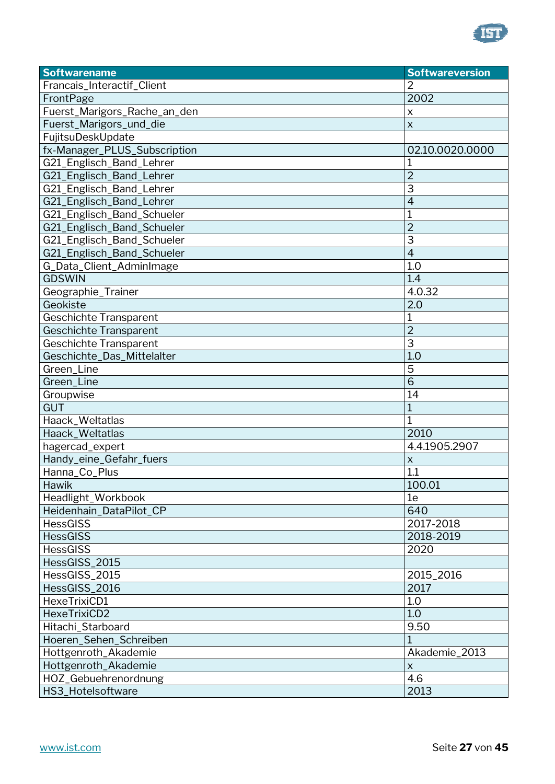

| <b>Softwarename</b>           | <b>Softwareversion</b> |
|-------------------------------|------------------------|
| Francais_Interactif_Client    | 2                      |
| FrontPage                     | 2002                   |
| Fuerst_Marigors_Rache_an_den  | $\pmb{\mathsf{X}}$     |
| Fuerst_Marigors_und_die       | $\times$               |
| FujitsuDeskUpdate             |                        |
| fx-Manager_PLUS_Subscription  | 02.10.0020.0000        |
| G21_Englisch_Band_Lehrer      |                        |
| G21_Englisch_Band_Lehrer      | 2                      |
| G21_Englisch_Band_Lehrer      | 3                      |
| G21_Englisch_Band_Lehrer      | $\overline{4}$         |
| G21_Englisch_Band_Schueler    | 1                      |
| G21_Englisch_Band_Schueler    | $\overline{2}$         |
| G21_Englisch_Band_Schueler    | 3                      |
| G21_Englisch_Band_Schueler    | $\overline{4}$         |
| G_Data_Client_AdminImage      | 1.0                    |
| <b>GDSWIN</b>                 | 1.4                    |
| Geographie_Trainer            | 4.0.32                 |
| Geokiste                      | 2.0                    |
| <b>Geschichte Transparent</b> | 1                      |
| <b>Geschichte Transparent</b> | $\overline{2}$         |
| <b>Geschichte Transparent</b> | 3                      |
| Geschichte_Das_Mittelalter    | 1.0                    |
| Green_Line                    | 5                      |
| Green_Line                    | 6                      |
| Groupwise                     | 14                     |
| <b>GUT</b>                    | 1                      |
| Haack_Weltatlas               | 1                      |
| Haack_Weltatlas               | 2010                   |
| hagercad_expert               | 4.4.1905.2907          |
| Handy_eine_Gefahr_fuers       | X                      |
| Hanna_Co_Plus                 | 1.1                    |
| Hawik                         | 100.01                 |
| Headlight_Workbook            | 1e                     |
| Heidenhain_DataPilot_CP       | 640                    |
| <b>HessGISS</b>               | 2017-2018              |
| <b>HessGISS</b>               | 2018-2019              |
| <b>HessGISS</b>               | 2020                   |
| HessGISS_2015                 |                        |
| HessGISS_2015                 | 2015_2016              |
| HessGISS_2016                 | 2017                   |
| HexeTrixiCD1                  | 1.0                    |
| HexeTrixiCD2                  | 1.0                    |
| Hitachi_Starboard             | 9.50                   |
| Hoeren_Sehen_Schreiben        |                        |
| Hottgenroth_Akademie          | Akademie_2013          |
| Hottgenroth_Akademie          | $\pmb{\times}$         |
| HOZ_Gebuehrenordnung          | 4.6                    |
| HS3_Hotelsoftware             | 2013                   |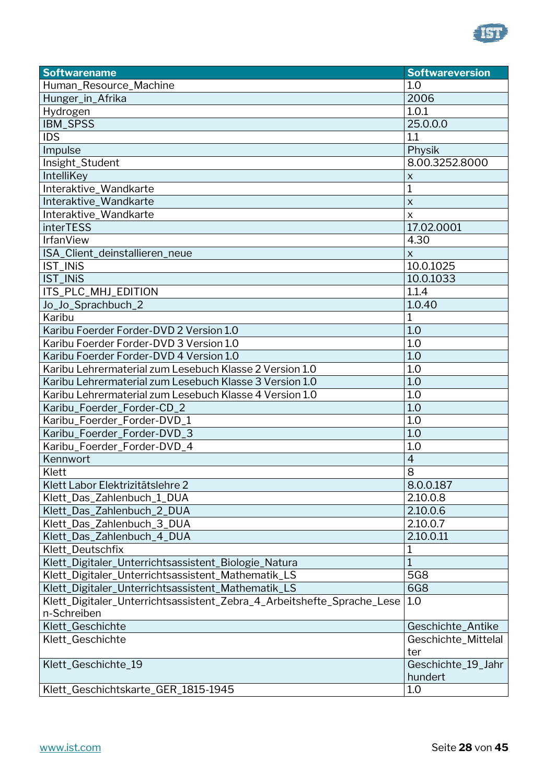

| <b>Softwarename</b>                                                                   | <b>Softwareversion</b>        |
|---------------------------------------------------------------------------------------|-------------------------------|
| Human_Resource_Machine                                                                | 1.0                           |
| Hunger_in_Afrika                                                                      | 2006                          |
| Hydrogen                                                                              | 1.0.1                         |
| IBM_SPSS                                                                              | 25.0.0.0                      |
| <b>IDS</b>                                                                            | 1.1                           |
| Impulse                                                                               | Physik                        |
| Insight_Student                                                                       | 8.00.3252.8000                |
| IntelliKey                                                                            | $\pmb{\times}$                |
| Interaktive_Wandkarte                                                                 | 1                             |
| Interaktive_Wandkarte                                                                 | $\mathsf{X}$                  |
| Interaktive_Wandkarte                                                                 | $\mathsf{x}$                  |
| <b>interTESS</b>                                                                      | 17.02.0001                    |
| <b>IrfanView</b>                                                                      | 4.30                          |
| ISA_Client_deinstallieren_neue                                                        | $\mathsf{x}$                  |
| <b>IST_INiS</b>                                                                       | 10.0.1025                     |
| <b>IST INIS</b>                                                                       | 10.0.1033                     |
| ITS_PLC_MHJ_EDITION                                                                   | 1.1.4                         |
| Jo_Jo_Sprachbuch_2                                                                    | 1.0.40                        |
| Karibu                                                                                | $\mathbf 1$                   |
| Karibu Foerder Forder-DVD 2 Version 1.0                                               | 1.0                           |
| Karibu Foerder Forder-DVD 3 Version 1.0                                               | 1.0                           |
| Karibu Foerder Forder-DVD 4 Version 1.0                                               | 1.0                           |
| Karibu Lehrermaterial zum Lesebuch Klasse 2 Version 1.0                               | 1.0                           |
| Karibu Lehrermaterial zum Lesebuch Klasse 3 Version 1.0                               | 1.0                           |
| Karibu Lehrermaterial zum Lesebuch Klasse 4 Version 1.0                               | 1.0                           |
| Karibu_Foerder_Forder-CD_2                                                            | 1.0                           |
| Karibu_Foerder_Forder-DVD_1                                                           | 1.0                           |
| Karibu_Foerder_Forder-DVD_3                                                           | 1.0                           |
| Karibu_Foerder_Forder-DVD_4                                                           | 1.0                           |
| Kennwort                                                                              | $\overline{4}$                |
| Klett                                                                                 | 8                             |
| Klett Labor Elektrizitätslehre 2                                                      | 8.0.0.187                     |
| Klett_Das_Zahlenbuch_1_DUA                                                            | 2.10.0.8                      |
| Klett_Das_Zahlenbuch_2_DUA                                                            | 2.10.0.6                      |
| Klett_Das_Zahlenbuch_3_DUA                                                            | 2.10.0.7                      |
| Klett_Das_Zahlenbuch_4_DUA                                                            | 2.10.0.11                     |
| Klett_Deutschfix                                                                      | 1                             |
| Klett_Digitaler_Unterrichtsassistent_Biologie_Natura                                  | $\overline{1}$                |
| Klett_Digitaler_Unterrichtsassistent_Mathematik_LS                                    | 5G8                           |
| Klett_Digitaler_Unterrichtsassistent_Mathematik_LS                                    | <b>6G8</b>                    |
| Klett_Digitaler_Unterrichtsassistent_Zebra_4_Arbeitshefte_Sprache_Lese<br>n-Schreiben | 1.0                           |
| Klett_Geschichte                                                                      | Geschichte_Antike             |
| Klett_Geschichte                                                                      | Geschichte_Mittelal           |
|                                                                                       | ter                           |
| Klett_Geschichte_19                                                                   | Geschichte_19_Jahr<br>hundert |
| Klett_Geschichtskarte_GER_1815-1945                                                   | 1.0                           |
|                                                                                       |                               |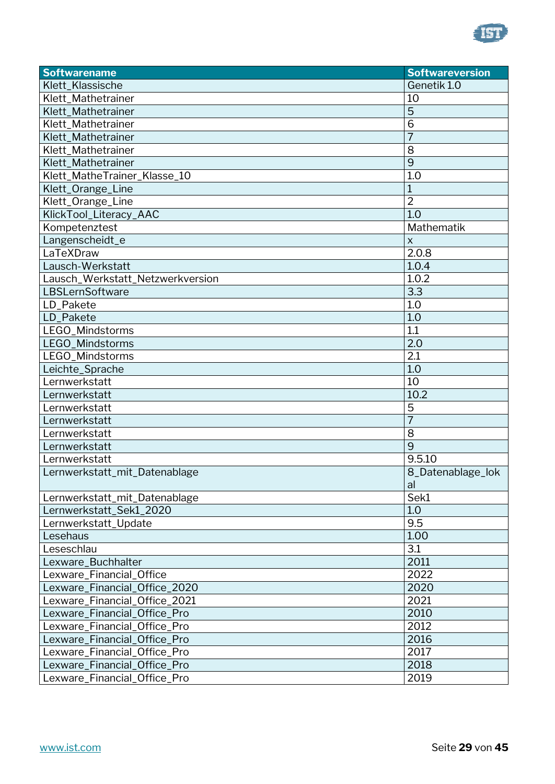

| <b>Softwarename</b>              | <b>Softwareversion</b> |
|----------------------------------|------------------------|
| Klett_Klassische                 | Genetik 1.0            |
| Klett_Mathetrainer               | 10                     |
| Klett_Mathetrainer               | 5                      |
| Klett Mathetrainer               | 6                      |
| Klett_Mathetrainer               | $\overline{7}$         |
| Klett_Mathetrainer               | 8                      |
| Klett_Mathetrainer               | 9                      |
| Klett_MatheTrainer_Klasse_10     | 1.0                    |
| Klett_Orange_Line                | 1                      |
| Klett_Orange_Line                | $\overline{2}$         |
| KlickTool_Literacy_AAC           | 1.0                    |
| Kompetenztest                    | Mathematik             |
| Langenscheidt_e                  | X                      |
| LaTeXDraw                        | 2.0.8                  |
| Lausch-Werkstatt                 | 1.0.4                  |
| Lausch_Werkstatt_Netzwerkversion | 1.0.2                  |
| LBSLernSoftware                  | 3.3                    |
| LD_Pakete                        | 1.0                    |
| LD_Pakete                        | 1.0                    |
| LEGO_Mindstorms                  | 1.1                    |
| LEGO_Mindstorms                  | 2.0                    |
| LEGO_Mindstorms                  | 2.1                    |
| Leichte_Sprache                  | 1.0                    |
| Lernwerkstatt                    | 10                     |
| Lernwerkstatt                    | 10.2                   |
| Lernwerkstatt                    | 5                      |
| Lernwerkstatt                    | $\overline{7}$         |
| Lernwerkstatt                    | 8                      |
| Lernwerkstatt                    | $\overline{9}$         |
| Lernwerkstatt                    | 9.5.10                 |
| Lernwerkstatt_mit_Datenablage    | 8_Datenablage_lok      |
|                                  | al                     |
| Lernwerkstatt_mit_Datenablage    | Sek1                   |
| Lernwerkstatt_Sek1_2020          | 1.0                    |
| Lernwerkstatt_Update             | 9.5                    |
| Lesehaus                         | 1.00                   |
| Leseschlau                       | 3.1                    |
| Lexware_Buchhalter               | 2011                   |
| Lexware_Financial_Office         | 2022                   |
| Lexware_Financial_Office_2020    | 2020                   |
| Lexware_Financial_Office_2021    | 2021                   |
| Lexware_Financial_Office_Pro     | 2010                   |
| Lexware_Financial_Office_Pro     | 2012                   |
| Lexware_Financial_Office_Pro     | 2016                   |
| Lexware_Financial_Office_Pro     | 2017                   |
| Lexware_Financial_Office_Pro     | 2018                   |
| Lexware_Financial_Office_Pro     | 2019                   |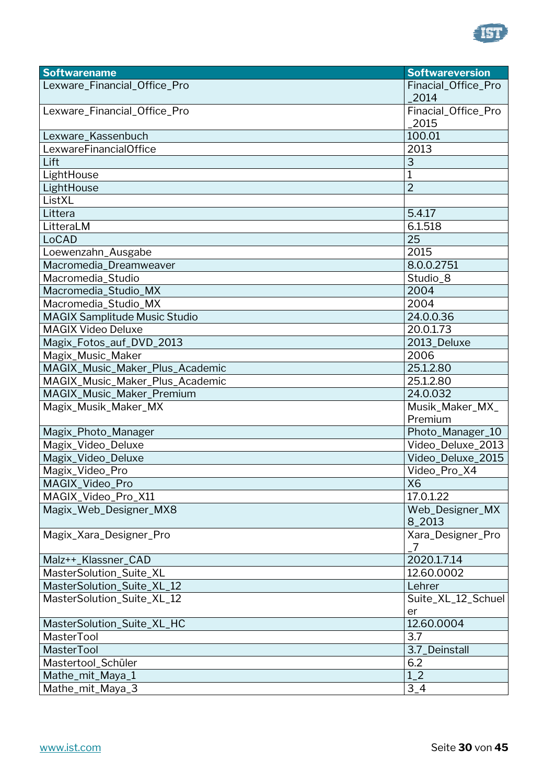

| <b>Softwarename</b>                  | <b>Softwareversion</b> |
|--------------------------------------|------------------------|
| Lexware_Financial_Office_Pro         | Finacial_Office_Pro    |
|                                      | 2014                   |
| Lexware_Financial_Office_Pro         | Finacial_Office_Pro    |
|                                      | 2015                   |
| Lexware_Kassenbuch                   | 100.01                 |
| LexwareFinancialOffice               | 2013                   |
| Lift                                 | 3                      |
| LightHouse                           | 1                      |
| LightHouse                           | $\overline{2}$         |
| ListXL                               |                        |
| Littera                              | 5.4.17                 |
| LitteraLM                            | 6.1.518                |
| LoCAD                                | 25                     |
| Loewenzahn_Ausgabe                   | 2015                   |
| Macromedia_Dreamweaver               | 8.0.0.2751             |
| Macromedia_Studio                    | Studio_8               |
| Macromedia_Studio_MX                 | 2004                   |
| Macromedia_Studio_MX                 | 2004                   |
| <b>MAGIX Samplitude Music Studio</b> | 24.0.0.36              |
| <b>MAGIX Video Deluxe</b>            | 20.0.1.73              |
| Magix_Fotos_auf_DVD_2013             | 2013_Deluxe            |
| Magix_Music_Maker                    | 2006                   |
| MAGIX_Music_Maker_Plus_Academic      | 25.1.2.80              |
| MAGIX_Music_Maker_Plus_Academic      | 25.1.2.80              |
| MAGIX_Music_Maker_Premium            | 24.0.032               |
| Magix_Musik_Maker_MX                 | Musik_Maker_MX_        |
|                                      | Premium                |
| Magix_Photo_Manager                  | Photo_Manager_10       |
| Magix_Video_Deluxe                   | Video_Deluxe_2013      |
| Magix_Video_Deluxe                   | Video_Deluxe_2015      |
| Magix_Video_Pro                      | Video_Pro_X4           |
| MAGIX_Video_Pro                      | X6                     |
| MAGIX_Video_Pro_X11                  | 17.0.1.22              |
| Magix_Web_Designer_MX8               | Web_Designer_MX        |
|                                      | 8_2013                 |
| Magix_Xara_Designer_Pro              | Xara_Designer_Pro      |
|                                      | 7                      |
| Malz++_Klassner_CAD                  | 2020.1.7.14            |
| MasterSolution_Suite_XL              | 12.60.0002             |
| MasterSolution_Suite_XL_12           | Lehrer                 |
| MasterSolution_Suite_XL_12           | Suite_XL_12_Schuel     |
|                                      | er                     |
| MasterSolution_Suite_XL_HC           | 12.60.0004             |
| <b>MasterTool</b>                    | 3.7                    |
| <b>MasterTool</b>                    | 3.7_Deinstall          |
| Mastertool_Schüler                   | 6.2                    |
| Mathe_mit_Maya_1                     | $1_{-}2$               |
| Mathe_mit_Maya_3                     | $3-4$                  |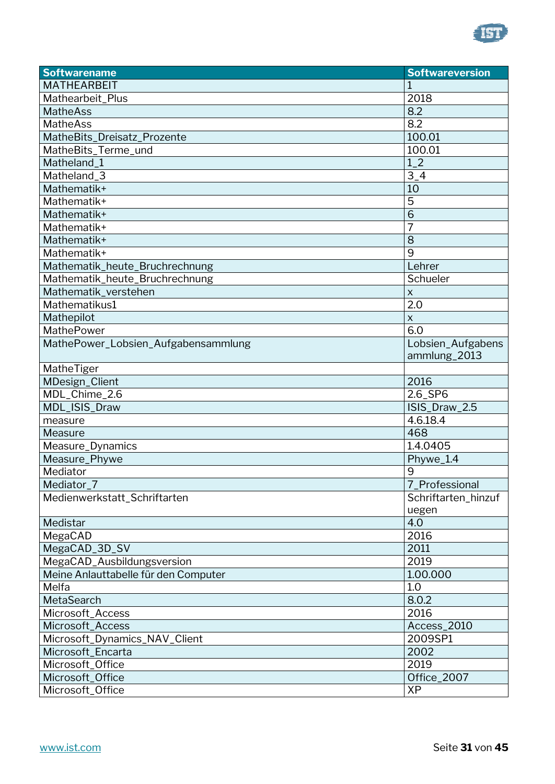

| <b>Softwarename</b>                  | <b>Softwareversion</b> |
|--------------------------------------|------------------------|
| <b>MATHEARBEIT</b>                   |                        |
| Mathearbeit_Plus                     | 2018                   |
| <b>MatheAss</b>                      | 8.2                    |
| <b>MatheAss</b>                      | 8.2                    |
| MatheBits_Dreisatz_Prozente          | 100.01                 |
| MatheBits_Terme_und                  | 100.01                 |
| Matheland_1                          | $1-2$                  |
| Matheland_3                          | $3-4$                  |
| Mathematik+                          | 10                     |
| Mathematik+                          | 5                      |
| Mathematik+                          | $\overline{6}$         |
| Mathematik+                          | 7                      |
| Mathematik+                          | 8                      |
| Mathematik+                          | 9                      |
| Mathematik_heute_Bruchrechnung       | Lehrer                 |
| Mathematik_heute_Bruchrechnung       | Schueler               |
| Mathematik_verstehen                 | $\mathsf X$            |
| Mathematikus1                        | $\overline{2.0}$       |
| Mathepilot                           | X                      |
| MathePower                           | 6.0                    |
| MathePower_Lobsien_Aufgabensammlung  | Lobsien_Aufgabens      |
|                                      | ammlung_2013           |
| MatheTiger                           |                        |
| MDesign_Client                       | 2016                   |
| MDL_Chime_2.6                        | 2.6_SP6                |
| MDL_ISIS_Draw                        | ISIS_Draw_2.5          |
| measure                              | 4.6.18.4               |
| Measure                              | 468                    |
| Measure_Dynamics                     | 1.4.0405               |
| Measure_Phywe                        | Phywe_1.4              |
| Mediator                             | 9                      |
| Mediator_7                           | 7_Professional         |
| Medienwerkstatt_Schriftarten         | Schriftarten_hinzuf    |
|                                      | uegen                  |
| Medistar                             | 4.0                    |
| MegaCAD                              | 2016                   |
| MegaCAD_3D_SV                        | 2011                   |
| MegaCAD_Ausbildungsversion           | 2019                   |
| Meine Anlauttabelle für den Computer | 1.00.000               |
| Melfa                                | 1.0                    |
| MetaSearch                           | 8.0.2                  |
| Microsoft_Access                     | 2016                   |
| Microsoft_Access                     | Access_2010            |
| Microsoft_Dynamics_NAV_Client        | 2009SP1                |
| Microsoft_Encarta                    | 2002                   |
| Microsoft_Office                     | 2019                   |
| Microsoft_Office                     | Office_2007            |
| Microsoft_Office                     | <b>XP</b>              |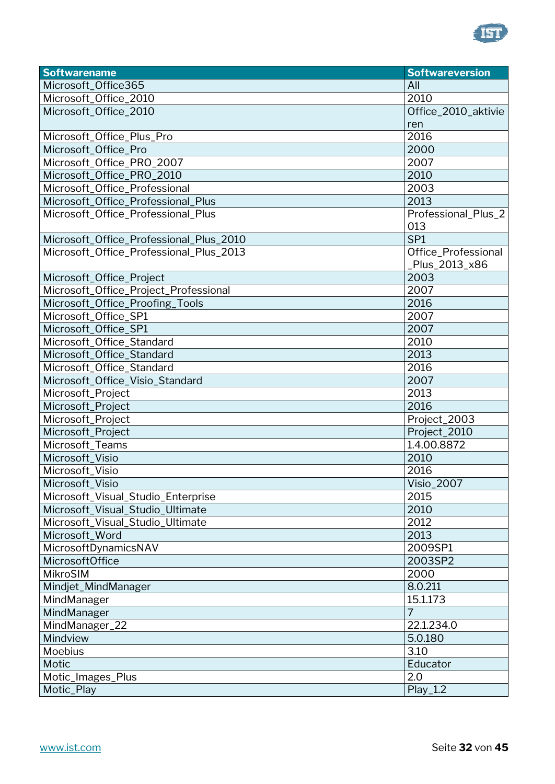

| <b>Softwarename</b>                     | <b>Softwareversion</b> |
|-----------------------------------------|------------------------|
| Microsoft_Office365                     | All                    |
| Microsoft_Office_2010                   | 2010                   |
| Microsoft_Office_2010                   | Office_2010_aktivie    |
|                                         | ren                    |
| Microsoft_Office_Plus_Pro               | 2016                   |
| Microsoft_Office_Pro                    | 2000                   |
| Microsoft_Office_PRO_2007               | 2007                   |
| Microsoft_Office_PRO_2010               | 2010                   |
| Microsoft_Office_Professional           | 2003                   |
| Microsoft_Office_Professional_Plus      | 2013                   |
| Microsoft_Office_Professional_Plus      | Professional_Plus_2    |
|                                         | 013                    |
| Microsoft_Office_Professional_Plus_2010 | SP <sub>1</sub>        |
| Microsoft_Office_Professional_Plus_2013 | Office_Professional    |
|                                         | Plus_2013_x86          |
| Microsoft_Office_Project                | 2003                   |
| Microsoft_Office_Project_Professional   | 2007                   |
| Microsoft_Office_Proofing_Tools         | 2016                   |
| Microsoft_Office_SP1                    | 2007                   |
| Microsoft_Office_SP1                    | 2007                   |
| Microsoft_Office_Standard               | 2010                   |
| Microsoft_Office_Standard               | 2013                   |
| Microsoft_Office_Standard               | 2016                   |
| Microsoft_Office_Visio_Standard         | 2007                   |
| Microsoft_Project                       | 2013                   |
| Microsoft_Project                       | 2016                   |
| Microsoft_Project                       | Project_2003           |
| Microsoft_Project                       | Project_2010           |
| Microsoft_Teams                         | 1.4.00.8872            |
| Microsoft_Visio                         | 2010                   |
| Microsoft_Visio                         | 2016                   |
| Microsoft_Visio                         | <b>Visio_2007</b>      |
| Microsoft_Visual_Studio_Enterprise      | 2015                   |
| Microsoft_Visual_Studio_Ultimate        | 2010                   |
| Microsoft_Visual_Studio_Ultimate        | 2012                   |
| Microsoft Word                          | 2013                   |
| MicrosoftDynamicsNAV                    | 2009SP1                |
| MicrosoftOffice                         | 2003SP2                |
| MikroSIM                                | 2000                   |
| Mindjet_MindManager                     | 8.0.211                |
| MindManager                             | 15.1.173               |
| MindManager                             | $\overline{7}$         |
| MindManager_22                          | 22.1.234.0             |
| Mindview                                | 5.0.180                |
| Moebius                                 | 3.10                   |
| Motic                                   | Educator               |
| Motic_Images_Plus                       | 2.0                    |
| Motic_Play                              | $Play_1.2$             |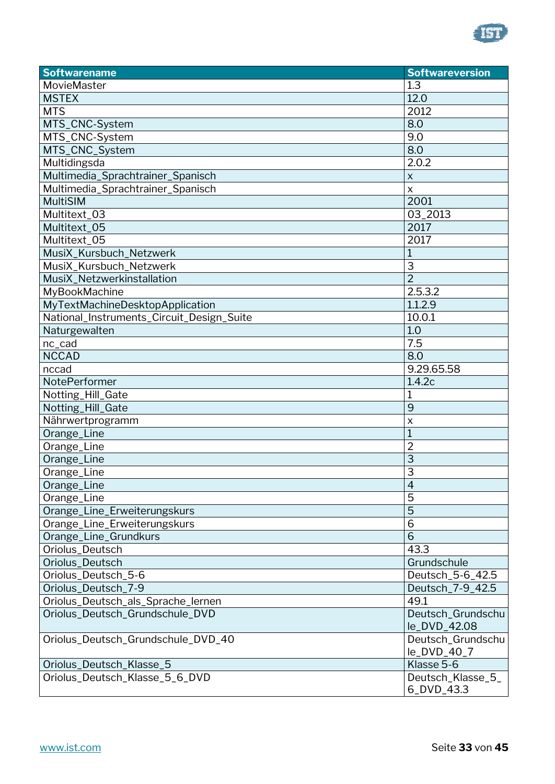

| <b>Softwarename</b>                       | <b>Softwareversion</b>   |
|-------------------------------------------|--------------------------|
| MovieMaster                               | 1.3                      |
| <b>MSTEX</b>                              | 12.0                     |
| <b>MTS</b>                                | 2012                     |
| MTS_CNC-System                            | 8.0                      |
| MTS_CNC-System                            | 9.0                      |
| MTS_CNC_System                            | 8.0                      |
| Multidingsda                              | 2.0.2                    |
| Multimedia_Sprachtrainer_Spanisch         | $\pmb{\times}$           |
| Multimedia_Sprachtrainer_Spanisch         | $\pmb{\times}$           |
| <b>MultiSIM</b>                           | 2001                     |
| Multitext_03                              | 03_2013                  |
| Multitext_05                              | 2017                     |
| Multitext_05                              | 2017                     |
| MusiX_Kursbuch_Netzwerk                   |                          |
| MusiX_Kursbuch_Netzwerk                   | 3                        |
| MusiX Netzwerkinstallation                | $\overline{2}$           |
| MyBookMachine                             | 2.5.3.2                  |
| MyTextMachineDesktopApplication           | 1.1.2.9                  |
| National_Instruments_Circuit_Design_Suite | 10.0.1                   |
| Naturgewalten                             | 1.0                      |
| nc_cad                                    | 7.5                      |
| <b>NCCAD</b>                              | 8.0                      |
| nccad                                     | 9.29.65.58               |
| NotePerformer                             | 1.4.2c                   |
| Notting_Hill_Gate                         | 1                        |
| Notting_Hill_Gate                         | 9                        |
| Nährwertprogramm                          | X                        |
| Orange_Line                               | $\overline{1}$           |
| Orange_Line                               | $\overline{2}$           |
| Orange_Line                               | $\overline{3}$           |
| Orange_Line                               | 3                        |
| Orange_Line                               | $\overline{\mathcal{L}}$ |
| Orange_Line                               | 5                        |
| Orange_Line_Erweiterungskurs              | 5                        |
| Orange_Line_Erweiterungskurs              | $\overline{6}$           |
| Orange_Line_Grundkurs                     | 6                        |
| Oriolus_Deutsch                           | 43.3                     |
| Oriolus_Deutsch                           | Grundschule              |
| Oriolus_Deutsch_5-6                       | Deutsch_5-6_42.5         |
| Oriolus_Deutsch_7-9                       | Deutsch_7-9_42.5         |
| Oriolus_Deutsch_als_Sprache_lernen        | 49.1                     |
| Oriolus_Deutsch_Grundschule_DVD           | Deutsch_Grundschu        |
|                                           | le_DVD_42.08             |
| Oriolus_Deutsch_Grundschule_DVD_40        | Deutsch_Grundschu        |
|                                           | le_DVD_40_7              |
| Oriolus_Deutsch_Klasse_5                  | Klasse 5-6               |
| Oriolus_Deutsch_Klasse_5_6_DVD            | Deutsch_Klasse_5_        |
|                                           | 6_DVD_43.3               |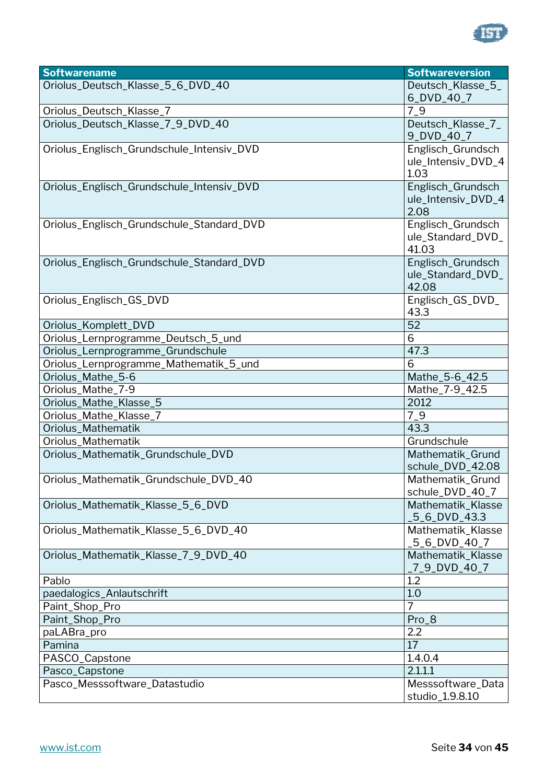

| <b>Softwarename</b>                       | <b>Softwareversion</b>                          |
|-------------------------------------------|-------------------------------------------------|
| Oriolus_Deutsch_Klasse_5_6_DVD_40         | Deutsch_Klasse_5_                               |
|                                           | 6_DVD_40_7                                      |
| Oriolus_Deutsch_Klasse_7                  | $7-9$                                           |
| Oriolus_Deutsch_Klasse_7_9_DVD_40         | Deutsch_Klasse_7_<br>9_DVD_40_7                 |
| Oriolus_Englisch_Grundschule_Intensiv_DVD | Englisch_Grundsch<br>ule_Intensiv_DVD_4<br>1.03 |
| Oriolus_Englisch_Grundschule_Intensiv_DVD | Englisch_Grundsch<br>ule_Intensiv_DVD_4<br>2.08 |
| Oriolus_Englisch_Grundschule_Standard_DVD | Englisch_Grundsch<br>ule_Standard_DVD_<br>41.03 |
| Oriolus_Englisch_Grundschule_Standard_DVD | Englisch_Grundsch<br>ule_Standard_DVD_<br>42.08 |
| Oriolus_Englisch_GS_DVD                   | Englisch_GS_DVD_<br>43.3                        |
| Oriolus_Komplett_DVD                      | 52                                              |
| Oriolus_Lernprogramme_Deutsch_5_und       | 6                                               |
| Oriolus_Lernprogramme_Grundschule         | 47.3                                            |
| Oriolus_Lernprogramme_Mathematik_5_und    | 6                                               |
| Oriolus_Mathe_5-6                         | Mathe_5-6_42.5                                  |
| Oriolus_Mathe_7-9                         | Mathe_7-9_42.5                                  |
| Oriolus_Mathe_Klasse_5                    | 2012                                            |
| Oriolus_Mathe_Klasse_7                    | $7-9$                                           |
| Oriolus_Mathematik                        | 43.3                                            |
| Oriolus_Mathematik                        | Grundschule                                     |
| Oriolus_Mathematik_Grundschule_DVD        | Mathematik_Grund<br>schule_DVD_42.08            |
| Oriolus_Mathematik_Grundschule_DVD_40     | Mathematik_Grund<br>schule_DVD_40_7             |
| Oriolus_Mathematik_Klasse_5_6_DVD         | Mathematik_Klasse<br>5_6_DVD_43.3               |
| Oriolus_Mathematik_Klasse_5_6_DVD_40      | Mathematik_Klasse<br>5_6_DVD_40_7               |
| Oriolus_Mathematik_Klasse_7_9_DVD_40      | Mathematik_Klasse<br>7_9_DVD_40_7               |
| Pablo                                     | 1.2                                             |
| paedalogics_Anlautschrift                 | 1.0                                             |
| Paint_Shop_Pro                            | $\overline{7}$                                  |
| Paint_Shop_Pro                            | Pro_8                                           |
| paLABra_pro                               | 2.2                                             |
| Pamina                                    | 17                                              |
| PASCO_Capstone                            | 1.4.0.4                                         |
| Pasco_Capstone                            | 2.1.1.1                                         |
| Pasco_Messsoftware_Datastudio             | Messsoftware_Data<br>studio_1.9.8.10            |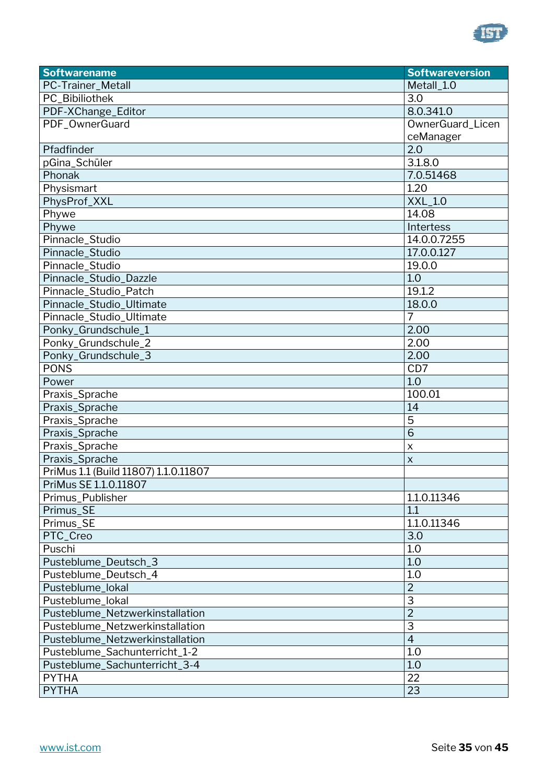

| <b>Softwarename</b>                  | <b>Softwareversion</b> |
|--------------------------------------|------------------------|
| PC-Trainer_Metall                    | Metall_1.0             |
| PC_Bibiliothek                       | 3.0                    |
| PDF-XChange_Editor                   | 8.0.341.0              |
| PDF_OwnerGuard                       | OwnerGuard_Licen       |
|                                      | ceManager              |
| Pfadfinder                           | 2.0                    |
| pGina_Schüler                        | 3.1.8.0                |
| Phonak                               | 7.0.51468              |
| Physismart                           | 1.20                   |
| PhysProf_XXL                         | <b>XXL_1.0</b>         |
| Phywe                                | 14.08                  |
| Phywe                                | Intertess              |
| Pinnacle_Studio                      | 14.0.0.7255            |
| Pinnacle_Studio                      | 17.0.0.127             |
| Pinnacle_Studio                      | 19.0.0                 |
| Pinnacle_Studio_Dazzle               | 1.0                    |
| Pinnacle_Studio_Patch                | 19.1.2                 |
| Pinnacle_Studio_Ultimate             | 18.0.0                 |
| Pinnacle_Studio_Ultimate             | 7                      |
| Ponky_Grundschule_1                  | 2.00                   |
| Ponky_Grundschule_2                  | 2.00                   |
| Ponky_Grundschule_3                  | 2.00                   |
| <b>PONS</b>                          | CD7                    |
| Power                                | 1.0                    |
| Praxis_Sprache                       | 100.01                 |
| Praxis_Sprache                       | 14                     |
| Praxis_Sprache                       | 5                      |
| Praxis_Sprache                       | 6                      |
| Praxis_Sprache                       | $\pmb{\times}$         |
| Praxis_Sprache                       | $\pmb{\times}$         |
| PriMus 1.1 (Build 11807) 1.1.0.11807 |                        |
| PriMus SE 1.1.0.11807                |                        |
| Primus_Publisher                     | 1.1.0.11346            |
| Primus_SE                            | 1.1                    |
| Primus_SE                            | 1.1.0.11346            |
| PTC_Creo                             | 3.0                    |
| Puschi                               | 1.0                    |
| Pusteblume_Deutsch_3                 | 1.0                    |
| Pusteblume_Deutsch_4                 | 1.0                    |
| Pusteblume_lokal                     | $\overline{2}$         |
| Pusteblume lokal                     | 3                      |
| Pusteblume_Netzwerkinstallation      | $\overline{2}$         |
| Pusteblume_Netzwerkinstallation      | 3                      |
| Pusteblume_Netzwerkinstallation      | $\overline{4}$         |
| Pusteblume_Sachunterricht_1-2        | 1.0                    |
| Pusteblume_Sachunterricht_3-4        | 1.0                    |
| <b>PYTHA</b>                         | 22                     |
| <b>PYTHA</b>                         | 23                     |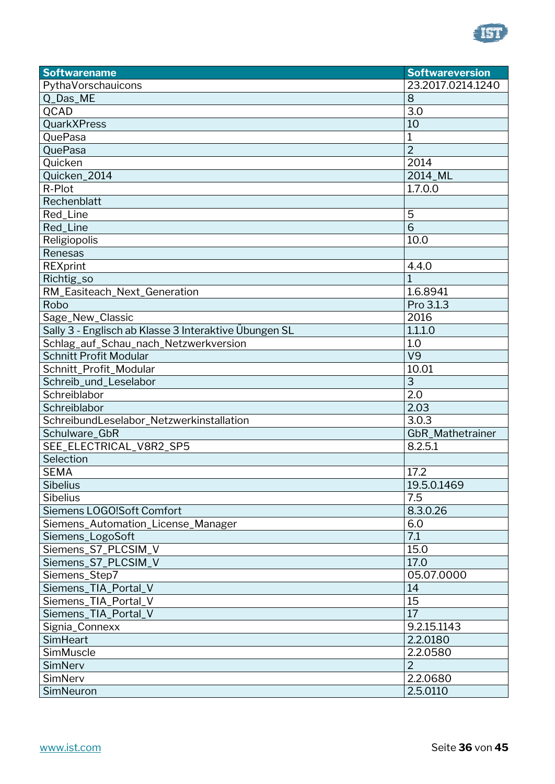

| <b>Softwarename</b>                                   | <b>Softwareversion</b> |
|-------------------------------------------------------|------------------------|
| PythaVorschauicons                                    | 23.2017.0214.1240      |
| Q_Das_ME                                              | 8                      |
| QCAD                                                  | 3.0                    |
| <b>QuarkXPress</b>                                    | 10                     |
| QuePasa                                               | $\mathbf 1$            |
| QuePasa                                               | $\overline{2}$         |
| Quicken                                               | 2014                   |
| Quicken_2014                                          | 2014 ML                |
| R-Plot                                                | 1.7.0.0                |
| Rechenblatt                                           |                        |
| Red_Line                                              | 5                      |
| Red_Line                                              | $\overline{6}$         |
| Religiopolis                                          | 10.0                   |
| Renesas                                               |                        |
| <b>REXprint</b>                                       | 4.4.0                  |
| Richtig_so                                            | $\overline{1}$         |
| RM_Easiteach_Next_Generation                          | 1.6.8941               |
| Robo                                                  | Pro 3.1.3              |
| Sage_New_Classic                                      | 2016                   |
| Sally 3 - Englisch ab Klasse 3 Interaktive Übungen SL | 1.1.1.0                |
| Schlag_auf_Schau_nach_Netzwerkversion                 | 1.0                    |
| <b>Schnitt Profit Modular</b>                         | V9                     |
| Schnitt_Profit_Modular                                | 10.01                  |
| Schreib_und_Leselabor                                 | 3                      |
| Schreiblabor                                          | 2.0                    |
| Schreiblabor                                          | 2.03                   |
| SchreibundLeselabor_Netzwerkinstallation              | 3.0.3                  |
| Schulware GbR                                         | GbR_Mathetrainer       |
| SEE_ELECTRICAL_V8R2_SP5                               | 8.2.5.1                |
| Selection                                             |                        |
| <b>SEMA</b>                                           | 17.2                   |
| Sibelius                                              | 19.5.0.1469            |
| <b>Sibelius</b>                                       | 7.5                    |
| Siemens LOGO!Soft Comfort                             | 8.3.0.26               |
| Siemens_Automation_License_Manager                    | 6.0                    |
| Siemens_LogoSoft                                      | 7.1                    |
| Siemens_S7_PLCSIM_V                                   | 15.0                   |
| Siemens_S7_PLCSIM_V                                   | 17.0                   |
| Siemens_Step7                                         | 05.07.0000             |
| Siemens_TIA_Portal_V                                  | 14                     |
| Siemens_TIA_Portal_V                                  | 15                     |
| Siemens_TIA_Portal_V                                  | 17                     |
| Signia_Connexx                                        | 9.2.15.1143            |
| SimHeart                                              | 2.2.0180               |
| SimMuscle                                             | 2.2.0580               |
| SimNerv                                               | $\overline{2}$         |
| SimNerv                                               | 2.2.0680               |
| SimNeuron                                             | 2.5.0110               |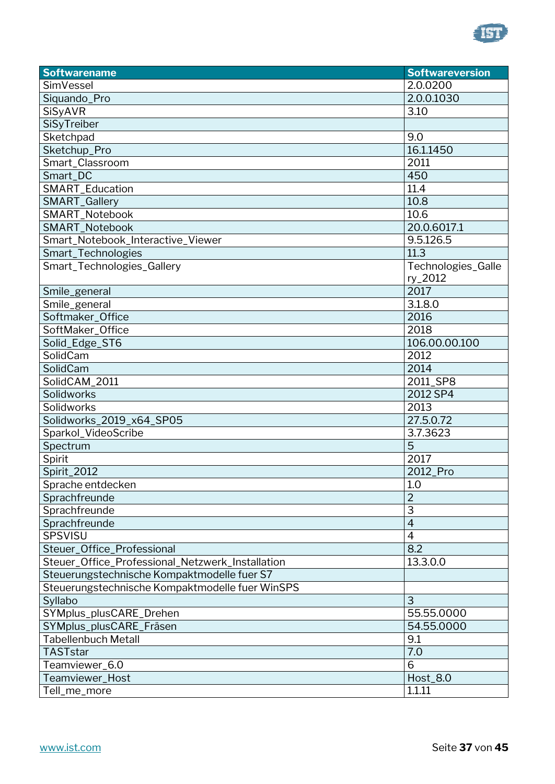

| <b>Softwarename</b>                              | <b>Softwareversion</b> |
|--------------------------------------------------|------------------------|
| SimVessel                                        | 2.0.0200               |
| Siquando_Pro                                     | 2.0.0.1030             |
| SiSyAVR                                          | 3.10                   |
| SiSyTreiber                                      |                        |
| Sketchpad                                        | 9.0                    |
| Sketchup_Pro                                     | 16.1.1450              |
| Smart_Classroom                                  | 2011                   |
| Smart_DC                                         | 450                    |
| SMART_Education                                  | 11.4                   |
| SMART_Gallery                                    | 10.8                   |
| SMART_Notebook                                   | 10.6                   |
| SMART_Notebook                                   | 20.0.6017.1            |
| Smart_Notebook_Interactive_Viewer                | 9.5.126.5              |
| Smart_Technologies                               | 11.3                   |
| Smart_Technologies_Gallery                       | Technologies_Galle     |
|                                                  | ry_2012                |
| Smile_general                                    | 2017                   |
| Smile_general                                    | 3.1.8.0                |
| Softmaker_Office                                 | 2016                   |
| SoftMaker_Office                                 | 2018                   |
| Solid_Edge_ST6                                   | 106.00.00.100          |
| SolidCam                                         | 2012                   |
| SolidCam                                         | 2014                   |
| SolidCAM_2011                                    | 2011_SP8               |
| Solidworks                                       | 2012 SP4               |
| Solidworks                                       | 2013                   |
| Solidworks_2019_x64_SP05                         | 27.5.0.72              |
| Sparkol_VideoScribe                              | 3.7.3623               |
| Spectrum                                         | 5                      |
| Spirit                                           | 2017                   |
| Spirit_2012                                      | 2012_Pro               |
| Sprache entdecken                                | 1.0                    |
| Sprachfreunde                                    | $\overline{2}$         |
| Sprachfreunde                                    | 3                      |
| Sprachfreunde                                    | $\overline{4}$         |
| SPSVISU                                          | $\overline{4}$         |
| Steuer_Office_Professional                       | 8.2                    |
| Steuer_Office_Professional_Netzwerk_Installation | 13.3.0.0               |
| Steuerungstechnische Kompaktmodelle fuer S7      |                        |
| Steuerungstechnische Kompaktmodelle fuer WinSPS  |                        |
| Syllabo                                          | 3                      |
| SYMplus_plusCARE_Drehen                          | 55.55.0000             |
| SYMplus_plusCARE_Fräsen                          | 54.55.0000             |
| <b>Tabellenbuch Metall</b>                       | 9.1                    |
| <b>TASTstar</b>                                  | 7.0                    |
| Teamviewer_6.0                                   | 6                      |
| Teamviewer_Host                                  | <b>Host_8.0</b>        |
| Tell_me_more                                     | 1.1.11                 |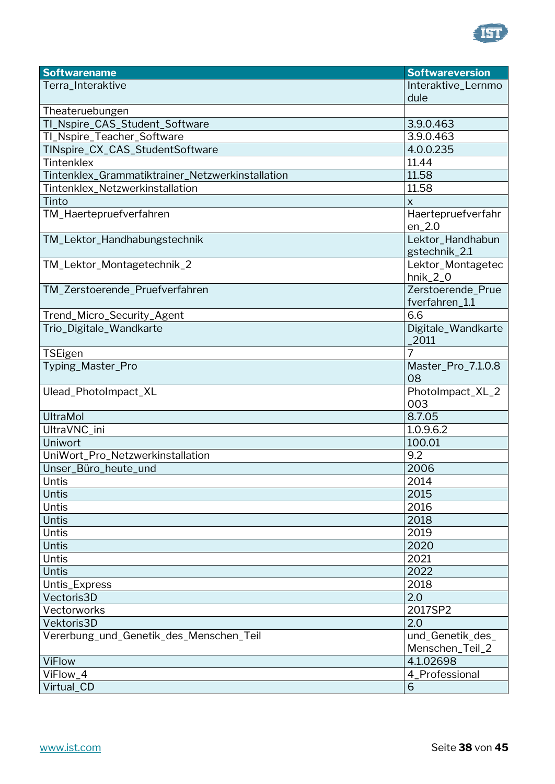

| <b>Softwarename</b>                              | <b>Softwareversion</b>          |
|--------------------------------------------------|---------------------------------|
| Terra_Interaktive                                | Interaktive_Lernmo              |
|                                                  | dule                            |
| Theateruebungen                                  |                                 |
| TI_Nspire_CAS_Student_Software                   | 3.9.0.463                       |
| TI_Nspire_Teacher_Software                       | 3.9.0.463                       |
| TINspire_CX_CAS_StudentSoftware                  | 4.0.0.235                       |
| Tintenklex                                       | 11.44                           |
| Tintenklex_Grammatiktrainer_Netzwerkinstallation | 11.58                           |
| Tintenklex_Netzwerkinstallation                  | 11.58                           |
| Tinto                                            | $\mathsf{x}$                    |
| TM_Haertepruefverfahren                          | Haertepruefverfahr<br>$en_2.0$  |
| TM_Lektor_Handhabungstechnik                     | Lektor_Handhabun                |
|                                                  | gstechnik_2.1                   |
| TM_Lektor_Montagetechnik_2                       | Lektor_Montagetec<br>$hnik_2_0$ |
| TM_Zerstoerende_Pruefverfahren                   | Zerstoerende_Prue               |
|                                                  | fverfahren_1.1                  |
| Trend_Micro_Security_Agent                       | 6.6                             |
| Trio_Digitale_Wandkarte                          | Digitale_Wandkarte<br>2011      |
| <b>TSEigen</b>                                   | 7                               |
| Typing_Master_Pro                                | Master_Pro_7.1.0.8<br>08        |
| Ulead_PhotoImpact_XL                             | PhotoImpact_XL_2<br>003         |
| <b>UltraMol</b>                                  | 8.7.05                          |
| UltraVNC_ini                                     | 1.0.9.6.2                       |
| Uniwort                                          | 100.01                          |
| UniWort_Pro_Netzwerkinstallation                 | 9.2                             |
| Unser_Büro_heute_und                             | 2006                            |
| Untis                                            | 2014                            |
| Untis                                            | 2015                            |
| <b>Untis</b>                                     | 2016                            |
| <b>Untis</b>                                     | 2018                            |
| Untis                                            | 2019                            |
| <b>Untis</b>                                     | 2020                            |
| <b>Untis</b>                                     | 2021                            |
| <b>Untis</b>                                     | 2022                            |
| Untis_Express                                    | 2018                            |
| Vectoris3D                                       | 2.0                             |
| Vectorworks                                      | 2017SP2                         |
| Vektoris3D                                       | 2.0                             |
| Vererbung_und_Genetik_des_Menschen_Teil          | und_Genetik_des_                |
|                                                  | Menschen_Teil_2                 |
| <b>ViFlow</b>                                    | 4.1.02698                       |
| ViFlow_4                                         | 4_Professional                  |
| Virtual_CD                                       | 6                               |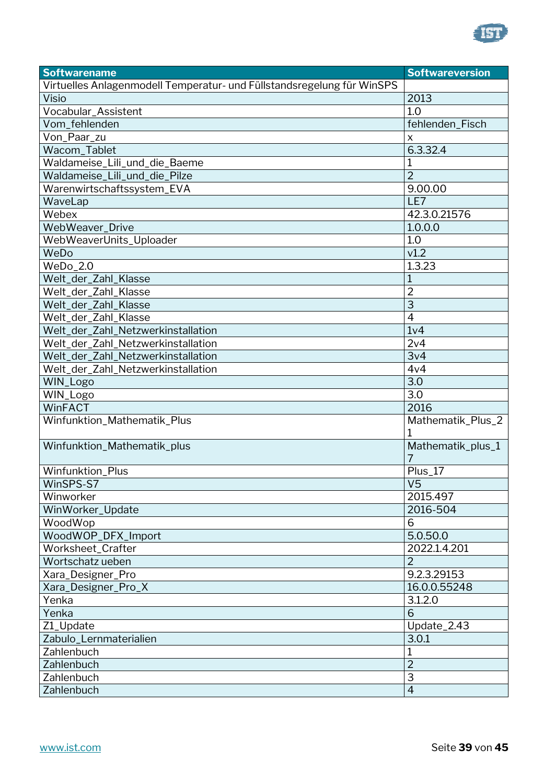

| <b>Softwarename</b>                                                    | <b>Softwareversion</b> |
|------------------------------------------------------------------------|------------------------|
| Virtuelles Anlagenmodell Temperatur- und Füllstandsregelung für WinSPS |                        |
| Visio                                                                  | 2013                   |
| Vocabular_Assistent                                                    | 1.0                    |
| Vom_fehlenden                                                          | fehlenden_Fisch        |
| Von_Paar_zu                                                            | X                      |
| Wacom_Tablet                                                           | 6.3.32.4               |
| Waldameise_Lili_und_die_Baeme                                          | $\mathbf 1$            |
| Waldameise_Lili_und_die_Pilze                                          | $\overline{2}$         |
| Warenwirtschaftssystem_EVA                                             | 9.00.00                |
| WaveLap                                                                | LE7                    |
| Webex                                                                  | 42.3.0.21576           |
| WebWeaver_Drive                                                        | 1.0.0.0                |
| WebWeaverUnits_Uploader                                                | 1.0                    |
| WeDo                                                                   | v1.2                   |
| WeDo_2.0                                                               | 1.3.23                 |
| Welt_der_Zahl_Klasse                                                   | $\mathbf{1}$           |
| Welt_der_Zahl_Klasse                                                   | $\overline{2}$         |
| Welt_der_Zahl_Klasse                                                   | $\overline{3}$         |
| Welt_der_Zahl_Klasse                                                   | $\overline{4}$         |
| Welt_der_Zahl_Netzwerkinstallation                                     | 1 <sub>v</sub> 4       |
| Welt_der_Zahl_Netzwerkinstallation                                     | 2v4                    |
| Welt_der_Zahl_Netzwerkinstallation                                     | 3v4                    |
| Welt_der_Zahl_Netzwerkinstallation                                     | 4v4                    |
| WIN_Logo                                                               | 3.0                    |
| WIN_Logo                                                               | 3.0                    |
| <b>WinFACT</b>                                                         | 2016                   |
| Winfunktion_Mathematik_Plus                                            | Mathematik_Plus_2<br>1 |
| Winfunktion_Mathematik_plus                                            | Mathematik_plus_1<br>7 |
| Winfunktion_Plus                                                       | Plus_17                |
| WinSPS-S7                                                              | V <sub>5</sub>         |
| Winworker                                                              | 2015.497               |
| WinWorker_Update                                                       | 2016-504               |
| WoodWop                                                                | 6                      |
| WoodWOP_DFX_Import                                                     | 5.0.50.0               |
| Worksheet_Crafter                                                      | 2022.1.4.201           |
| Wortschatz ueben                                                       | $\overline{2}$         |
| Xara_Designer_Pro                                                      | 9.2.3.29153            |
| Xara_Designer_Pro_X                                                    | 16.0.0.55248           |
| Yenka                                                                  | 3.1.2.0                |
| Yenka                                                                  | 6                      |
| Z1_Update                                                              | Update_2.43            |
| Zabulo_Lernmaterialien                                                 | 3.0.1                  |
| Zahlenbuch                                                             | 1                      |
| Zahlenbuch                                                             | $\overline{2}$         |
| Zahlenbuch                                                             | 3                      |
| Zahlenbuch                                                             | $\overline{4}$         |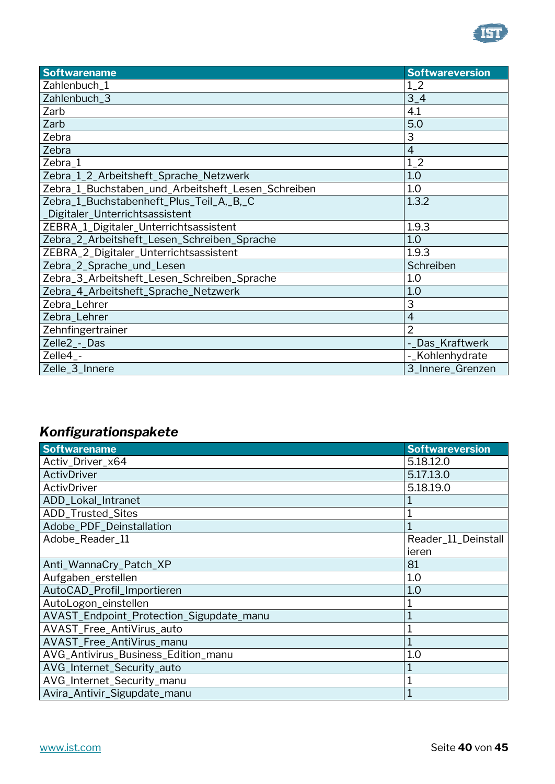

| <b>Softwarename</b>                                | <b>Softwareversion</b> |
|----------------------------------------------------|------------------------|
| Zahlenbuch_1                                       | $1_{-}2$               |
| Zahlenbuch_3                                       | $3-4$                  |
| Zarb                                               | 4.1                    |
| Zarb                                               | 5.0                    |
| Zebra                                              | 3                      |
| Zebra                                              | $\overline{4}$         |
| Zebra_1                                            | $1_{-}2$               |
| Zebra_1_2_Arbeitsheft_Sprache_Netzwerk             | 1.0                    |
| Zebra_1_Buchstaben_und_Arbeitsheft_Lesen_Schreiben | 1.0                    |
| Zebra_1_Buchstabenheft_Plus_Teil_A,_B,_C           | 1.3.2                  |
| _Digitaler_Unterrichtsassistent                    |                        |
| ZEBRA_1_Digitaler_Unterrichtsassistent             | 1.9.3                  |
| Zebra_2_Arbeitsheft_Lesen_Schreiben_Sprache        | 1.0                    |
| ZEBRA_2_Digitaler_Unterrichtsassistent             | 1.9.3                  |
| Zebra_2_Sprache_und_Lesen                          | Schreiben              |
| Zebra_3_Arbeitsheft_Lesen_Schreiben_Sprache        | 1.0                    |
| Zebra_4_Arbeitsheft_Sprache_Netzwerk               | 1.0                    |
| Zebra_Lehrer                                       | 3                      |
| Zebra_Lehrer                                       | $\overline{4}$         |
| Zehnfingertrainer                                  | $\overline{2}$         |
| Zelle <sub>2</sub> - Das                           | -_Das_Kraftwerk        |
| Zelle4_-                                           | -_Kohlenhydrate        |
| Zelle_3_Innere                                     | 3_Innere_Grenzen       |

## <span id="page-39-0"></span>*Konfigurationspakete*

| <b>Softwarename</b>                      | <b>Softwareversion</b> |
|------------------------------------------|------------------------|
| Activ_Driver_x64                         | 5.18.12.0              |
| ActivDriver                              | 5.17.13.0              |
| ActivDriver                              | 5.18.19.0              |
| ADD_Lokal_Intranet                       |                        |
| ADD_Trusted_Sites                        |                        |
| Adobe_PDF_Deinstallation                 |                        |
| Adobe_Reader_11                          | Reader_11_Deinstall    |
|                                          | ieren                  |
| Anti_WannaCry_Patch_XP                   | 81                     |
| Aufgaben_erstellen                       | 1.0                    |
| AutoCAD_Profil_Importieren               | 1.0                    |
| AutoLogon_einstellen                     |                        |
| AVAST_Endpoint_Protection_Sigupdate_manu |                        |
| AVAST_Free_AntiVirus_auto                |                        |
| AVAST_Free_AntiVirus_manu                |                        |
| AVG_Antivirus_Business_Edition_manu      | 1.0                    |
| AVG_Internet_Security_auto               |                        |
| AVG_Internet_Security_manu               |                        |
| Avira_Antivir_Sigupdate_manu             |                        |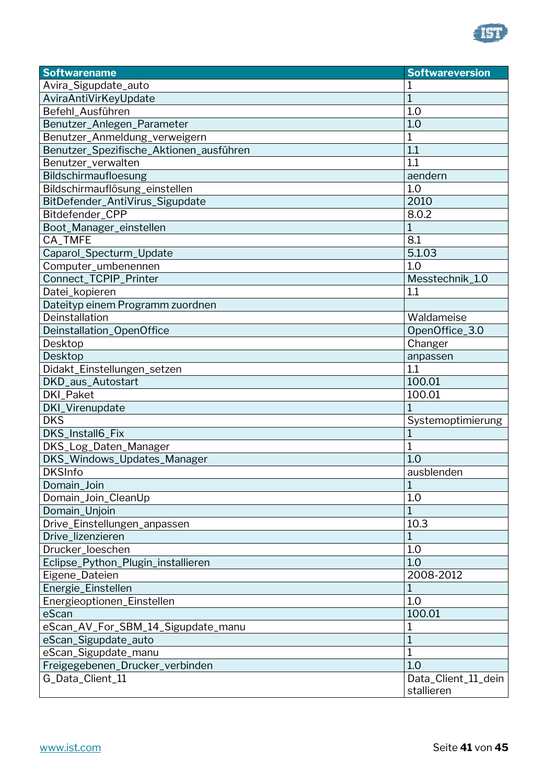

| <b>Softwarename</b>                     | <b>Softwareversion</b> |
|-----------------------------------------|------------------------|
| Avira_Sigupdate_auto                    |                        |
| AviraAntiVirKeyUpdate                   | $\mathbf{1}$           |
| Befehl_Ausführen                        | 1.0                    |
| Benutzer_Anlegen_Parameter              | 1.0                    |
| Benutzer_Anmeldung_verweigern           | 1                      |
| Benutzer_Spezifische_Aktionen_ausführen | 1.1                    |
| Benutzer_verwalten                      | 1.1                    |
| Bildschirmaufloesung                    | aendern                |
| Bildschirmauflösung_einstellen          | 1.0                    |
| BitDefender_AntiVirus_Sigupdate         | 2010                   |
| Bitdefender_CPP                         | 8.0.2                  |
| Boot_Manager_einstellen                 | $\overline{1}$         |
| CA_TMFE                                 | 8.1                    |
| Caparol_Specturm_Update                 | 5.1.03                 |
| Computer_umbenennen                     | 1.0                    |
| Connect_TCPIP_Printer                   | Messtechnik_1.0        |
| Datei_kopieren                          | 1.1                    |
| Dateityp einem Programm zuordnen        |                        |
| Deinstallation                          | Waldameise             |
| Deinstallation_OpenOffice               | OpenOffice_3.0         |
| Desktop                                 | Changer                |
| Desktop                                 | anpassen               |
| Didakt_Einstellungen_setzen             | 1.1                    |
| DKD_aus_Autostart                       | 100.01                 |
| <b>DKI_Paket</b>                        | 100.01                 |
| DKI_Virenupdate                         |                        |
| <b>DKS</b>                              | Systemoptimierung      |
| DKS_Install6_Fix                        | 1                      |
| DKS_Log_Daten_Manager                   | 1                      |
| DKS_Windows_Updates_Manager             | 1.0                    |
| <b>DKSInfo</b>                          | ausblenden             |
| Domain_Join                             | $\mathbf 1$            |
| Domain_Join_CleanUp                     | 1.0                    |
| Domain_Unjoin                           | 1                      |
| Drive_Einstellungen_anpassen            | 10.3                   |
| Drive_lizenzieren                       | 1                      |
| Drucker_loeschen                        | 1.0                    |
| Eclipse_Python_Plugin_installieren      | 1.0                    |
| Eigene_Dateien                          | 2008-2012              |
| Energie_Einstellen                      | 1                      |
| Energieoptionen_Einstellen              | 1.0                    |
| eScan                                   | 100.01                 |
| eScan_AV_For_SBM_14_Sigupdate_manu      |                        |
| eScan_Sigupdate_auto                    | $\overline{1}$         |
| eScan_Sigupdate_manu                    | 1                      |
| Freigegebenen_Drucker_verbinden         | 1.0                    |
| G_Data_Client_11                        | Data_Client_11_dein    |
|                                         | stallieren             |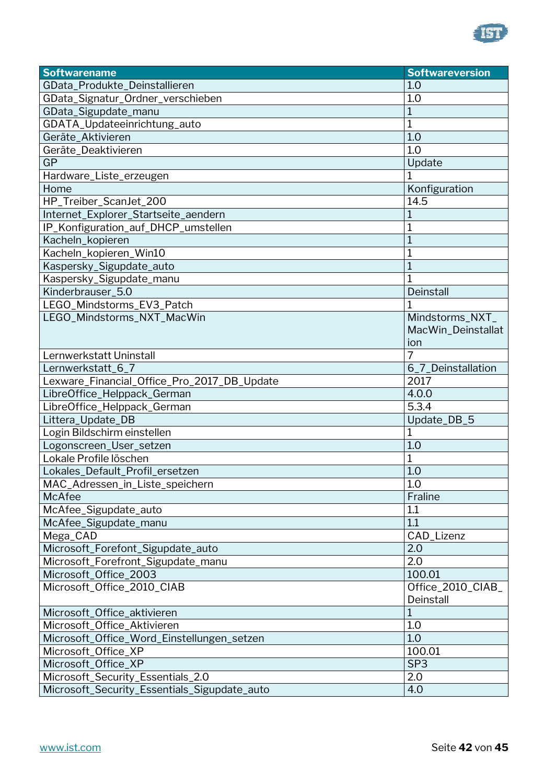

| <b>Softwarename</b>                          | <b>Softwareversion</b> |
|----------------------------------------------|------------------------|
| GData_Produkte_Deinstallieren                | 1.0                    |
| GData_Signatur_Ordner_verschieben            | 1.0                    |
| GData_Sigupdate_manu                         | 1                      |
| GDATA_Updateeinrichtung_auto                 | 1                      |
| Geräte_Aktivieren                            | 1.0                    |
| Geräte_Deaktivieren                          | 1.0                    |
| <b>GP</b>                                    | Update                 |
| Hardware_Liste_erzeugen                      |                        |
| Home                                         | Konfiguration          |
| HP_Treiber_ScanJet_200                       | 14.5                   |
| Internet_Explorer_Startseite_aendern         | 1                      |
| IP_Konfiguration_auf_DHCP_umstellen          |                        |
| Kacheln_kopieren                             |                        |
| Kacheln_kopieren_Win10                       |                        |
| Kaspersky_Sigupdate_auto                     |                        |
| Kaspersky_Sigupdate_manu                     |                        |
| Kinderbrauser_5.0                            | Deinstall              |
| LEGO_Mindstorms_EV3_Patch                    |                        |
| LEGO_Mindstorms_NXT_MacWin                   | Mindstorms_NXT_        |
|                                              | MacWin_Deinstallat     |
|                                              | ion                    |
| Lernwerkstatt Uninstall                      | 7                      |
| Lernwerkstatt_6_7                            | 6_7_Deinstallation     |
| Lexware_Financial_Office_Pro_2017_DB_Update  | 2017                   |
| LibreOffice_Helppack_German                  | 4.0.0                  |
| LibreOffice_Helppack_German                  | 5.3.4                  |
| Littera_Update_DB                            | Update_DB_5            |
| Login Bildschirm einstellen                  | 1                      |
| Logonscreen_User_setzen                      | 1.0                    |
| Lokale Profile löschen                       | 1                      |
| Lokales_Default_Profil_ersetzen              | 1.0                    |
| MAC_Adressen_in_Liste_speichern              | 1.0                    |
| McAfee                                       | Fraline                |
| McAfee_Sigupdate_auto                        | 1.1                    |
| McAfee_Sigupdate_manu                        | 1.1                    |
| Mega_CAD                                     | CAD_Lizenz             |
| Microsoft_Forefont_Sigupdate_auto            | 2.0                    |
| Microsoft_Forefront_Sigupdate_manu           | 2.0                    |
| Microsoft_Office_2003                        | 100.01                 |
| Microsoft_Office_2010_CIAB                   | Office_2010_CIAB_      |
|                                              | Deinstall              |
| Microsoft_Office_aktivieren                  | $\mathbf{1}$           |
| Microsoft_Office_Aktivieren                  | 1.0                    |
| Microsoft_Office_Word_Einstellungen_setzen   | 1.0                    |
| Microsoft_Office_XP                          | 100.01                 |
| Microsoft_Office_XP                          | SP <sub>3</sub>        |
| Microsoft_Security_Essentials_2.0            | 2.0                    |
| Microsoft_Security_Essentials_Sigupdate_auto | 4.0                    |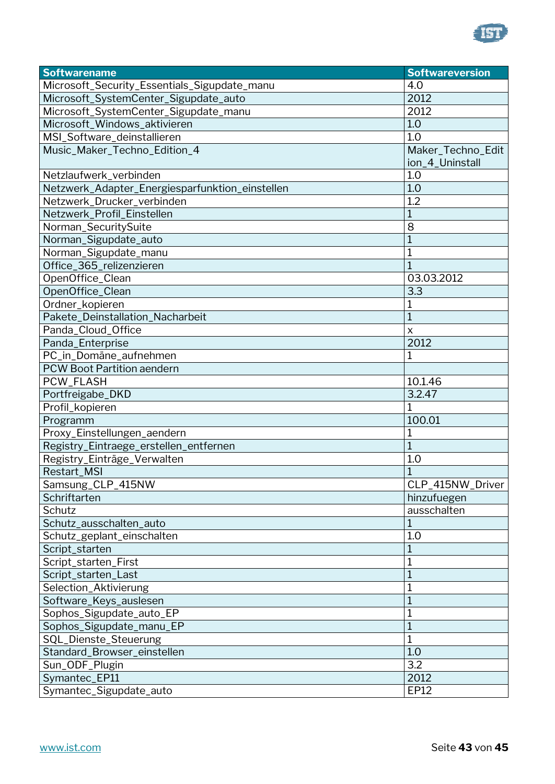

| <b>Softwarename</b>                             | <b>Softwareversion</b> |
|-------------------------------------------------|------------------------|
| Microsoft_Security_Essentials_Sigupdate_manu    | 4.0                    |
| Microsoft_SystemCenter_Sigupdate_auto           | 2012                   |
| Microsoft_SystemCenter_Sigupdate_manu           | 2012                   |
| Microsoft_Windows_aktivieren                    | 1.0                    |
| MSI_Software_deinstallieren                     | 1.0                    |
| Music_Maker_Techno_Edition_4                    | Maker_Techno_Edit      |
|                                                 | ion_4_Uninstall        |
| Netzlaufwerk_verbinden                          | 1.0                    |
| Netzwerk_Adapter_Energiesparfunktion_einstellen | 1.0                    |
| Netzwerk_Drucker_verbinden                      | 1.2                    |
| Netzwerk_Profil_Einstellen                      | 1                      |
| Norman_SecuritySuite                            | 8                      |
| Norman_Sigupdate_auto                           | 1                      |
| Norman_Sigupdate_manu                           | 1                      |
| Office_365_relizenzieren                        |                        |
| OpenOffice Clean                                | 03.03.2012             |
| OpenOffice_Clean                                | 3.3                    |
| Ordner_kopieren                                 | 1                      |
| Pakete_Deinstallation_Nacharbeit                | 1                      |
| Panda_Cloud_Office                              | X                      |
| Panda_Enterprise                                | 2012                   |
| PC_in_Domäne_aufnehmen                          | $\mathbf 1$            |
| <b>PCW Boot Partition aendern</b>               |                        |
| PCW_FLASH                                       | 10.1.46                |
| Portfreigabe_DKD                                | 3.2.47                 |
| Profil_kopieren                                 | 1                      |
| Programm                                        | 100.01                 |
| Proxy_Einstellungen_aendern                     | $\mathbf 1$            |
| Registry_Eintraege_erstellen_entfernen          | $\mathbf{1}$           |
| Registry_Einträge_Verwalten                     | 1.0                    |
| Restart_MSI                                     | $\mathbf{1}$           |
| Samsung_CLP_415NW                               | CLP_415NW_Driver       |
| Schriftarten                                    | hinzufuegen            |
| Schutz                                          | ausschalten            |
| Schutz_ausschalten_auto                         | 1                      |
| Schutz_geplant_einschalten                      | 1.0                    |
| Script_starten                                  | 1                      |
| Script_starten_First                            | 1                      |
| Script_starten_Last                             | 1                      |
| Selection_Aktivierung                           | 1                      |
| Software_Keys_auslesen                          | $\overline{1}$         |
| Sophos_Sigupdate_auto_EP                        | 1                      |
| Sophos_Sigupdate_manu_EP                        | 1                      |
| SQL_Dienste_Steuerung                           | $\mathbf 1$            |
| Standard_Browser_einstellen                     | 1.0                    |
| Sun_ODF_Plugin                                  | 3.2                    |
| Symantec_EP11                                   | 2012                   |
| Symantec_Sigupdate_auto                         | EP12                   |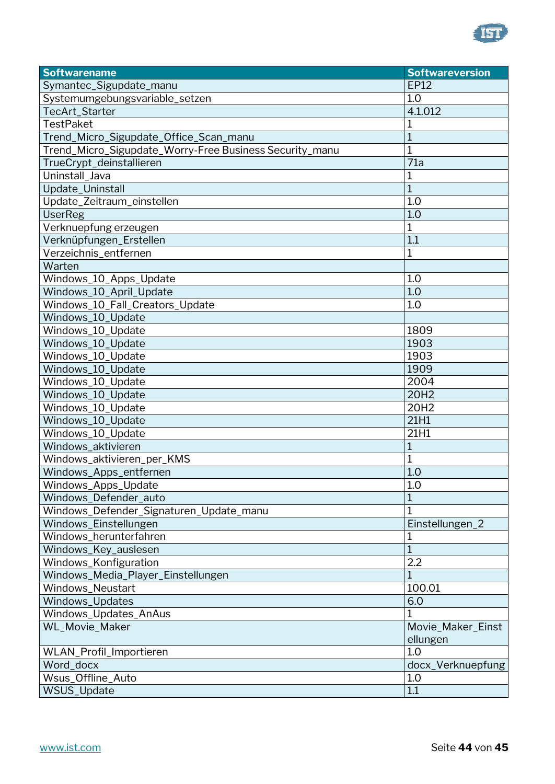

| Symantec_Sigupdate_manu<br><b>EP12</b><br>Systemumgebungsvariable_setzen<br>1.0<br>4.1.012<br>TecArt_Starter<br><b>TestPaket</b><br>1<br>$\overline{1}$<br>Trend_Micro_Sigupdate_Office_Scan_manu<br>Trend_Micro_Sigupdate_Worry-Free Business Security_manu<br>1<br>$\overline{7}1a$<br>TrueCrypt_deinstallieren<br>Uninstall_Java<br>1<br>$\overline{1}$<br>Update_Uninstall<br>1.0<br>Update_Zeitraum_einstellen<br>1.0<br><b>UserReg</b><br>Verknuepfung erzeugen<br>1<br>1.1<br>Verknüpfungen_Erstellen<br>Verzeichnis_entfernen<br>1<br>Warten<br>1.0<br>Windows_10_Apps_Update<br>Windows_10_April_Update<br>1.0<br>Windows_10_Fall_Creators_Update<br>1.0<br>Windows_10_Update<br>Windows_10_Update<br>1809<br>1903<br>Windows_10_Update<br>Windows_10_Update<br>1903<br>Windows_10_Update<br>1909<br>Windows_10_Update<br>2004<br>20H2<br>Windows_10_Update<br>20H2<br>Windows_10_Update<br>21H1<br>Windows_10_Update<br>21H1<br>Windows_10_Update<br>Windows_aktivieren<br>$\mathbf{1}$<br>Windows_aktivieren_per_KMS<br>1<br>Windows_Apps_entfernen<br>1.0<br>$\overline{1.0}$<br>Windows_Apps_Update<br>$\overline{1}$<br>Windows_Defender_auto<br>Windows_Defender_Signaturen_Update_manu<br>$\mathbf 1$<br>Windows_Einstellungen<br>Einstellungen_2<br>Windows herunterfahren<br>$\overline{1}$<br>Windows_Key_auslesen<br>$\overline{2.2}$<br>Windows_Konfiguration<br>Windows_Media_Player_Einstellungen<br>$\mathbf 1$<br>Windows Neustart<br>100.01<br>Windows_Updates<br>6.0<br>Windows_Updates_AnAus<br><b>WL_Movie_Maker</b><br>Movie_Maker_Einst<br>ellungen<br>1.0<br>WLAN_Profil_Importieren<br>Word_docx<br>docx_Verknuepfung<br>Wsus_Offline_Auto<br>1.0<br>WSUS_Update<br>1.1 | <b>Softwarename</b> | <b>Softwareversion</b> |
|----------------------------------------------------------------------------------------------------------------------------------------------------------------------------------------------------------------------------------------------------------------------------------------------------------------------------------------------------------------------------------------------------------------------------------------------------------------------------------------------------------------------------------------------------------------------------------------------------------------------------------------------------------------------------------------------------------------------------------------------------------------------------------------------------------------------------------------------------------------------------------------------------------------------------------------------------------------------------------------------------------------------------------------------------------------------------------------------------------------------------------------------------------------------------------------------------------------------------------------------------------------------------------------------------------------------------------------------------------------------------------------------------------------------------------------------------------------------------------------------------------------------------------------------------------------------------------------------------------------------------------------------------------------------------------------------------------|---------------------|------------------------|
|                                                                                                                                                                                                                                                                                                                                                                                                                                                                                                                                                                                                                                                                                                                                                                                                                                                                                                                                                                                                                                                                                                                                                                                                                                                                                                                                                                                                                                                                                                                                                                                                                                                                                                          |                     |                        |
|                                                                                                                                                                                                                                                                                                                                                                                                                                                                                                                                                                                                                                                                                                                                                                                                                                                                                                                                                                                                                                                                                                                                                                                                                                                                                                                                                                                                                                                                                                                                                                                                                                                                                                          |                     |                        |
|                                                                                                                                                                                                                                                                                                                                                                                                                                                                                                                                                                                                                                                                                                                                                                                                                                                                                                                                                                                                                                                                                                                                                                                                                                                                                                                                                                                                                                                                                                                                                                                                                                                                                                          |                     |                        |
|                                                                                                                                                                                                                                                                                                                                                                                                                                                                                                                                                                                                                                                                                                                                                                                                                                                                                                                                                                                                                                                                                                                                                                                                                                                                                                                                                                                                                                                                                                                                                                                                                                                                                                          |                     |                        |
|                                                                                                                                                                                                                                                                                                                                                                                                                                                                                                                                                                                                                                                                                                                                                                                                                                                                                                                                                                                                                                                                                                                                                                                                                                                                                                                                                                                                                                                                                                                                                                                                                                                                                                          |                     |                        |
|                                                                                                                                                                                                                                                                                                                                                                                                                                                                                                                                                                                                                                                                                                                                                                                                                                                                                                                                                                                                                                                                                                                                                                                                                                                                                                                                                                                                                                                                                                                                                                                                                                                                                                          |                     |                        |
|                                                                                                                                                                                                                                                                                                                                                                                                                                                                                                                                                                                                                                                                                                                                                                                                                                                                                                                                                                                                                                                                                                                                                                                                                                                                                                                                                                                                                                                                                                                                                                                                                                                                                                          |                     |                        |
|                                                                                                                                                                                                                                                                                                                                                                                                                                                                                                                                                                                                                                                                                                                                                                                                                                                                                                                                                                                                                                                                                                                                                                                                                                                                                                                                                                                                                                                                                                                                                                                                                                                                                                          |                     |                        |
|                                                                                                                                                                                                                                                                                                                                                                                                                                                                                                                                                                                                                                                                                                                                                                                                                                                                                                                                                                                                                                                                                                                                                                                                                                                                                                                                                                                                                                                                                                                                                                                                                                                                                                          |                     |                        |
|                                                                                                                                                                                                                                                                                                                                                                                                                                                                                                                                                                                                                                                                                                                                                                                                                                                                                                                                                                                                                                                                                                                                                                                                                                                                                                                                                                                                                                                                                                                                                                                                                                                                                                          |                     |                        |
|                                                                                                                                                                                                                                                                                                                                                                                                                                                                                                                                                                                                                                                                                                                                                                                                                                                                                                                                                                                                                                                                                                                                                                                                                                                                                                                                                                                                                                                                                                                                                                                                                                                                                                          |                     |                        |
|                                                                                                                                                                                                                                                                                                                                                                                                                                                                                                                                                                                                                                                                                                                                                                                                                                                                                                                                                                                                                                                                                                                                                                                                                                                                                                                                                                                                                                                                                                                                                                                                                                                                                                          |                     |                        |
|                                                                                                                                                                                                                                                                                                                                                                                                                                                                                                                                                                                                                                                                                                                                                                                                                                                                                                                                                                                                                                                                                                                                                                                                                                                                                                                                                                                                                                                                                                                                                                                                                                                                                                          |                     |                        |
|                                                                                                                                                                                                                                                                                                                                                                                                                                                                                                                                                                                                                                                                                                                                                                                                                                                                                                                                                                                                                                                                                                                                                                                                                                                                                                                                                                                                                                                                                                                                                                                                                                                                                                          |                     |                        |
|                                                                                                                                                                                                                                                                                                                                                                                                                                                                                                                                                                                                                                                                                                                                                                                                                                                                                                                                                                                                                                                                                                                                                                                                                                                                                                                                                                                                                                                                                                                                                                                                                                                                                                          |                     |                        |
|                                                                                                                                                                                                                                                                                                                                                                                                                                                                                                                                                                                                                                                                                                                                                                                                                                                                                                                                                                                                                                                                                                                                                                                                                                                                                                                                                                                                                                                                                                                                                                                                                                                                                                          |                     |                        |
|                                                                                                                                                                                                                                                                                                                                                                                                                                                                                                                                                                                                                                                                                                                                                                                                                                                                                                                                                                                                                                                                                                                                                                                                                                                                                                                                                                                                                                                                                                                                                                                                                                                                                                          |                     |                        |
|                                                                                                                                                                                                                                                                                                                                                                                                                                                                                                                                                                                                                                                                                                                                                                                                                                                                                                                                                                                                                                                                                                                                                                                                                                                                                                                                                                                                                                                                                                                                                                                                                                                                                                          |                     |                        |
|                                                                                                                                                                                                                                                                                                                                                                                                                                                                                                                                                                                                                                                                                                                                                                                                                                                                                                                                                                                                                                                                                                                                                                                                                                                                                                                                                                                                                                                                                                                                                                                                                                                                                                          |                     |                        |
|                                                                                                                                                                                                                                                                                                                                                                                                                                                                                                                                                                                                                                                                                                                                                                                                                                                                                                                                                                                                                                                                                                                                                                                                                                                                                                                                                                                                                                                                                                                                                                                                                                                                                                          |                     |                        |
|                                                                                                                                                                                                                                                                                                                                                                                                                                                                                                                                                                                                                                                                                                                                                                                                                                                                                                                                                                                                                                                                                                                                                                                                                                                                                                                                                                                                                                                                                                                                                                                                                                                                                                          |                     |                        |
|                                                                                                                                                                                                                                                                                                                                                                                                                                                                                                                                                                                                                                                                                                                                                                                                                                                                                                                                                                                                                                                                                                                                                                                                                                                                                                                                                                                                                                                                                                                                                                                                                                                                                                          |                     |                        |
|                                                                                                                                                                                                                                                                                                                                                                                                                                                                                                                                                                                                                                                                                                                                                                                                                                                                                                                                                                                                                                                                                                                                                                                                                                                                                                                                                                                                                                                                                                                                                                                                                                                                                                          |                     |                        |
|                                                                                                                                                                                                                                                                                                                                                                                                                                                                                                                                                                                                                                                                                                                                                                                                                                                                                                                                                                                                                                                                                                                                                                                                                                                                                                                                                                                                                                                                                                                                                                                                                                                                                                          |                     |                        |
|                                                                                                                                                                                                                                                                                                                                                                                                                                                                                                                                                                                                                                                                                                                                                                                                                                                                                                                                                                                                                                                                                                                                                                                                                                                                                                                                                                                                                                                                                                                                                                                                                                                                                                          |                     |                        |
|                                                                                                                                                                                                                                                                                                                                                                                                                                                                                                                                                                                                                                                                                                                                                                                                                                                                                                                                                                                                                                                                                                                                                                                                                                                                                                                                                                                                                                                                                                                                                                                                                                                                                                          |                     |                        |
|                                                                                                                                                                                                                                                                                                                                                                                                                                                                                                                                                                                                                                                                                                                                                                                                                                                                                                                                                                                                                                                                                                                                                                                                                                                                                                                                                                                                                                                                                                                                                                                                                                                                                                          |                     |                        |
|                                                                                                                                                                                                                                                                                                                                                                                                                                                                                                                                                                                                                                                                                                                                                                                                                                                                                                                                                                                                                                                                                                                                                                                                                                                                                                                                                                                                                                                                                                                                                                                                                                                                                                          |                     |                        |
|                                                                                                                                                                                                                                                                                                                                                                                                                                                                                                                                                                                                                                                                                                                                                                                                                                                                                                                                                                                                                                                                                                                                                                                                                                                                                                                                                                                                                                                                                                                                                                                                                                                                                                          |                     |                        |
|                                                                                                                                                                                                                                                                                                                                                                                                                                                                                                                                                                                                                                                                                                                                                                                                                                                                                                                                                                                                                                                                                                                                                                                                                                                                                                                                                                                                                                                                                                                                                                                                                                                                                                          |                     |                        |
|                                                                                                                                                                                                                                                                                                                                                                                                                                                                                                                                                                                                                                                                                                                                                                                                                                                                                                                                                                                                                                                                                                                                                                                                                                                                                                                                                                                                                                                                                                                                                                                                                                                                                                          |                     |                        |
|                                                                                                                                                                                                                                                                                                                                                                                                                                                                                                                                                                                                                                                                                                                                                                                                                                                                                                                                                                                                                                                                                                                                                                                                                                                                                                                                                                                                                                                                                                                                                                                                                                                                                                          |                     |                        |
|                                                                                                                                                                                                                                                                                                                                                                                                                                                                                                                                                                                                                                                                                                                                                                                                                                                                                                                                                                                                                                                                                                                                                                                                                                                                                                                                                                                                                                                                                                                                                                                                                                                                                                          |                     |                        |
|                                                                                                                                                                                                                                                                                                                                                                                                                                                                                                                                                                                                                                                                                                                                                                                                                                                                                                                                                                                                                                                                                                                                                                                                                                                                                                                                                                                                                                                                                                                                                                                                                                                                                                          |                     |                        |
|                                                                                                                                                                                                                                                                                                                                                                                                                                                                                                                                                                                                                                                                                                                                                                                                                                                                                                                                                                                                                                                                                                                                                                                                                                                                                                                                                                                                                                                                                                                                                                                                                                                                                                          |                     |                        |
|                                                                                                                                                                                                                                                                                                                                                                                                                                                                                                                                                                                                                                                                                                                                                                                                                                                                                                                                                                                                                                                                                                                                                                                                                                                                                                                                                                                                                                                                                                                                                                                                                                                                                                          |                     |                        |
|                                                                                                                                                                                                                                                                                                                                                                                                                                                                                                                                                                                                                                                                                                                                                                                                                                                                                                                                                                                                                                                                                                                                                                                                                                                                                                                                                                                                                                                                                                                                                                                                                                                                                                          |                     |                        |
|                                                                                                                                                                                                                                                                                                                                                                                                                                                                                                                                                                                                                                                                                                                                                                                                                                                                                                                                                                                                                                                                                                                                                                                                                                                                                                                                                                                                                                                                                                                                                                                                                                                                                                          |                     |                        |
|                                                                                                                                                                                                                                                                                                                                                                                                                                                                                                                                                                                                                                                                                                                                                                                                                                                                                                                                                                                                                                                                                                                                                                                                                                                                                                                                                                                                                                                                                                                                                                                                                                                                                                          |                     |                        |
|                                                                                                                                                                                                                                                                                                                                                                                                                                                                                                                                                                                                                                                                                                                                                                                                                                                                                                                                                                                                                                                                                                                                                                                                                                                                                                                                                                                                                                                                                                                                                                                                                                                                                                          |                     |                        |
|                                                                                                                                                                                                                                                                                                                                                                                                                                                                                                                                                                                                                                                                                                                                                                                                                                                                                                                                                                                                                                                                                                                                                                                                                                                                                                                                                                                                                                                                                                                                                                                                                                                                                                          |                     |                        |
|                                                                                                                                                                                                                                                                                                                                                                                                                                                                                                                                                                                                                                                                                                                                                                                                                                                                                                                                                                                                                                                                                                                                                                                                                                                                                                                                                                                                                                                                                                                                                                                                                                                                                                          |                     |                        |
|                                                                                                                                                                                                                                                                                                                                                                                                                                                                                                                                                                                                                                                                                                                                                                                                                                                                                                                                                                                                                                                                                                                                                                                                                                                                                                                                                                                                                                                                                                                                                                                                                                                                                                          |                     |                        |
|                                                                                                                                                                                                                                                                                                                                                                                                                                                                                                                                                                                                                                                                                                                                                                                                                                                                                                                                                                                                                                                                                                                                                                                                                                                                                                                                                                                                                                                                                                                                                                                                                                                                                                          |                     |                        |
|                                                                                                                                                                                                                                                                                                                                                                                                                                                                                                                                                                                                                                                                                                                                                                                                                                                                                                                                                                                                                                                                                                                                                                                                                                                                                                                                                                                                                                                                                                                                                                                                                                                                                                          |                     |                        |
|                                                                                                                                                                                                                                                                                                                                                                                                                                                                                                                                                                                                                                                                                                                                                                                                                                                                                                                                                                                                                                                                                                                                                                                                                                                                                                                                                                                                                                                                                                                                                                                                                                                                                                          |                     |                        |
|                                                                                                                                                                                                                                                                                                                                                                                                                                                                                                                                                                                                                                                                                                                                                                                                                                                                                                                                                                                                                                                                                                                                                                                                                                                                                                                                                                                                                                                                                                                                                                                                                                                                                                          |                     |                        |